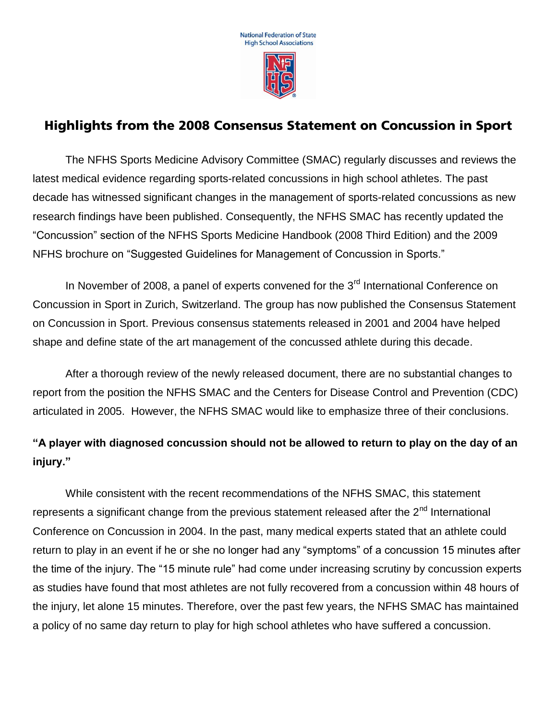

# **Highlights from the 2008 Consensus Statement on Concussion in Sport**

The NFHS Sports Medicine Advisory Committee (SMAC) regularly discusses and reviews the latest medical evidence regarding sports-related concussions in high school athletes. The past decade has witnessed significant changes in the management of sports-related concussions as new research findings have been published. Consequently, the NFHS SMAC has recently updated the "Concussion" section of the NFHS Sports Medicine Handbook (2008 Third Edition) and the 2009 NFHS brochure on "Suggested Guidelines for Management of Concussion in Sports."

In November of 2008, a panel of experts convened for the  $3<sup>rd</sup>$  International Conference on Concussion in Sport in Zurich, Switzerland. The group has now published the Consensus Statement on Concussion in Sport. Previous consensus statements released in 2001 and 2004 have helped shape and define state of the art management of the concussed athlete during this decade.

After a thorough review of the newly released document, there are no substantial changes to report from the position the NFHS SMAC and the Centers for Disease Control and Prevention (CDC) articulated in 2005. However, the NFHS SMAC would like to emphasize three of their conclusions.

# **"A player with diagnosed concussion should not be allowed to return to play on the day of an injury."**

While consistent with the recent recommendations of the NFHS SMAC, this statement represents a significant change from the previous statement released after the 2<sup>nd</sup> International Conference on Concussion in 2004. In the past, many medical experts stated that an athlete could return to play in an event if he or she no longer had any "symptoms" of a concussion 15 minutes after the time of the injury. The "15 minute rule" had come under increasing scrutiny by concussion experts as studies have found that most athletes are not fully recovered from a concussion within 48 hours of the injury, let alone 15 minutes. Therefore, over the past few years, the NFHS SMAC has maintained a policy of no same day return to play for high school athletes who have suffered a concussion.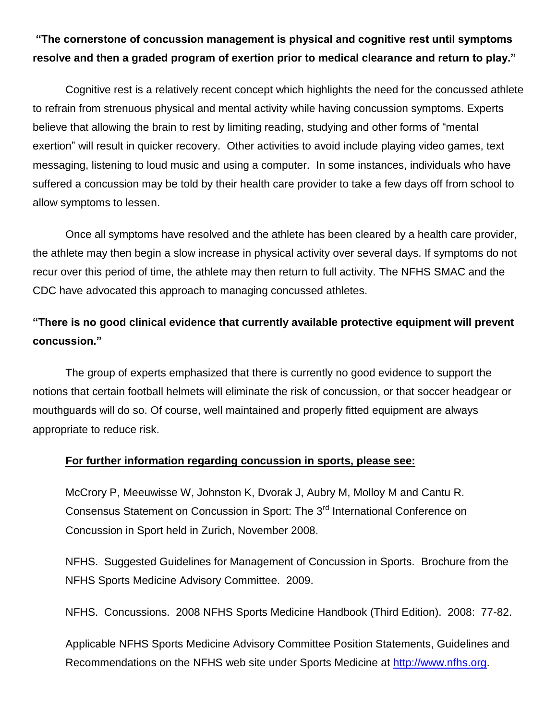# **"The cornerstone of concussion management is physical and cognitive rest until symptoms resolve and then a graded program of exertion prior to medical clearance and return to play."**

Cognitive rest is a relatively recent concept which highlights the need for the concussed athlete to refrain from strenuous physical and mental activity while having concussion symptoms. Experts believe that allowing the brain to rest by limiting reading, studying and other forms of "mental exertion" will result in quicker recovery. Other activities to avoid include playing video games, text messaging, listening to loud music and using a computer. In some instances, individuals who have suffered a concussion may be told by their health care provider to take a few days off from school to allow symptoms to lessen.

Once all symptoms have resolved and the athlete has been cleared by a health care provider, the athlete may then begin a slow increase in physical activity over several days. If symptoms do not recur over this period of time, the athlete may then return to full activity. The NFHS SMAC and the CDC have advocated this approach to managing concussed athletes.

# **"There is no good clinical evidence that currently available protective equipment will prevent concussion."**

The group of experts emphasized that there is currently no good evidence to support the notions that certain football helmets will eliminate the risk of concussion, or that soccer headgear or mouthguards will do so. Of course, well maintained and properly fitted equipment are always appropriate to reduce risk.

# **For further information regarding concussion in sports, please see:**

McCrory P, Meeuwisse W, Johnston K, Dvorak J, Aubry M, Molloy M and Cantu R. Consensus Statement on Concussion in Sport: The 3<sup>rd</sup> International Conference on Concussion in Sport held in Zurich, November 2008.

NFHS. Suggested Guidelines for Management of Concussion in Sports. Brochure from the NFHS Sports Medicine Advisory Committee. 2009.

NFHS. Concussions. 2008 NFHS Sports Medicine Handbook (Third Edition). 2008: 77-82.

Applicable NFHS Sports Medicine Advisory Committee Position Statements, Guidelines and Recommendations on the NFHS web site under Sports Medicine at [http://www.nfhs.org.](http://www.nfhs.org/)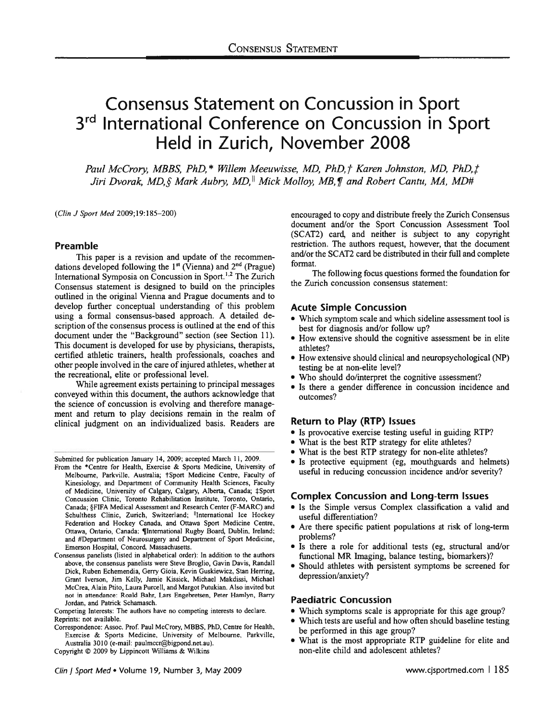# **Consensus Statement on Concussion in Sport** 3<sup>rd</sup> International Conference on Concussion in Sport Held in Zurich, November 2008

Paul McCrory, MBBS, PhD,\* Willem Meeuwisse, MD, PhD,† Karen Johnston, MD, PhD, $\ddagger$ Jiri Dvorak, MD, & Mark Aubry, MD,<sup>||</sup> Mick Molloy, MB, *||* and Robert Cantu, MA, MD#

(Clin J Sport Med 2009;19:185-200)

#### Preamble

This paper is a revision and update of the recommendations developed following the 1st (Vienna) and 2<sup>nd</sup> (Prague) International Symposia on Concussion in Sport.<sup>1,2</sup> The Zurich Consensus statement is designed to build on the principles outlined in the original Vienna and Prague documents and to develop further conceptual understanding of this problem using a formal consensus-based approach. A detailed description of the consensus process is outlined at the end of this document under the "Background" section (see Section 11). This document is developed for use by physicians, therapists, certified athletic trainers, health professionals, coaches and other people involved in the care of injured athletes, whether at the recreational, elite or professional level.

While agreement exists pertaining to principal messages conveyed within this document, the authors acknowledge that the science of concussion is evolving and therefore management and return to play decisions remain in the realm of clinical judgment on an individualized basis. Readers are

Submitted for publication January 14, 2009; accepted March 11, 2009.

encouraged to copy and distribute freely the Zurich Consensus document and/or the Sport Concussion Assessment Tool (SCAT2) card, and neither is subject to any copyright restriction. The authors request, however, that the document and/or the SCAT2 card be distributed in their full and complete format.

The following focus questions formed the foundation for the Zurich concussion consensus statement:

#### **Acute Simple Concussion**

- Which symptom scale and which sideline assessment tool is best for diagnosis and/or follow up?
- How extensive should the cognitive assessment be in elite athletes?
- How extensive should clinical and neuropsychological (NP) testing be at non-elite level?
- Who should do/interpret the cognitive assessment?
- Is there a gender difference in concussion incidence and outcomes?

## Return to Play (RTP) Issues

- Is provocative exercise testing useful in guiding RTP?
- What is the best RTP strategy for elite athletes?
- What is the best RTP strategy for non-elite athletes?
- · Is protective equipment (eg, mouthguards and helmets) useful in reducing concussion incidence and/or severity?

## **Complex Concussion and Long-term Issues**

- Is the Simple versus Complex classification a valid and useful differentiation?
- Are there specific patient populations at risk of long-term problems?
- Is there a role for additional tests (eg, structural and/or functional MR Imaging, balance testing, biomarkers)?
- Should athletes with persistent symptoms be screened for depression/anxiety?

#### **Paediatric Concussion**

- Which symptoms scale is appropriate for this age group?
- Which tests are useful and how often should baseline testing be performed in this age group?
- What is the most appropriate RTP guideline for elite and non-elite child and adolescent athletes?

From the \*Centre for Health, Exercise & Sports Medicine, University of Melbourne, Parkville, Australia; †Sport Medicine Centre, Faculty of Kinesiology, and Department of Community Health Sciences, Faculty of Medicine, University of Calgary, Calgary, Alberta, Canada; #Sport Concussion Clinic, Toronto Rehabilitation Institute, Toronto, Ontario, Canada; §FIFA Medical Assessment and Research Center (F-MARC) and Schulthess Clinic, Zurich, Switzerland; <sup>||</sup>International lce Hockey Federation and Hockey Canada, and Ottawa Sport Medicine Centre, Ottawa, Ontario, Canada; ¶International Rugby Board, Dublin, Ireland; and #Department of Neurosurgery and Department of Sport Medicine, Emerson Hospital, Concord, Massachusetts.

Consensus panelists (listed in alphabetical order): In addition to the authors above, the consensus panelists were Steve Broglio, Gavin Davis, Randall Dick, Ruben Echemendia, Gerry Gioia, Kevin Guskiewicz, Stan Herring, Grant Iverson, Jim Kelly, Jamie Kissick, Michael Makdissi, Michael McCrea, Alain Ptito, Laura Purcell, and Margot Putukian. Also invited but not in attendance: Roald Bahr, Lars Engebretsen, Peter Hamlyn, Barry Jordan, and Patrick Schamasch.

Competing Interests: The authors have no competing interests to declare. Reprints: not available.

Correspondence: Assoc. Prof. Paul McCrory, MBBS, PhD, Centre for Health, Exercise & Sports Medicine, University of Melbourne, Parkville, Australia 3010 (e-mail: paulmccr@bigpond.net.au).

Copyright © 2009 by Lippincott Williams & Wilkins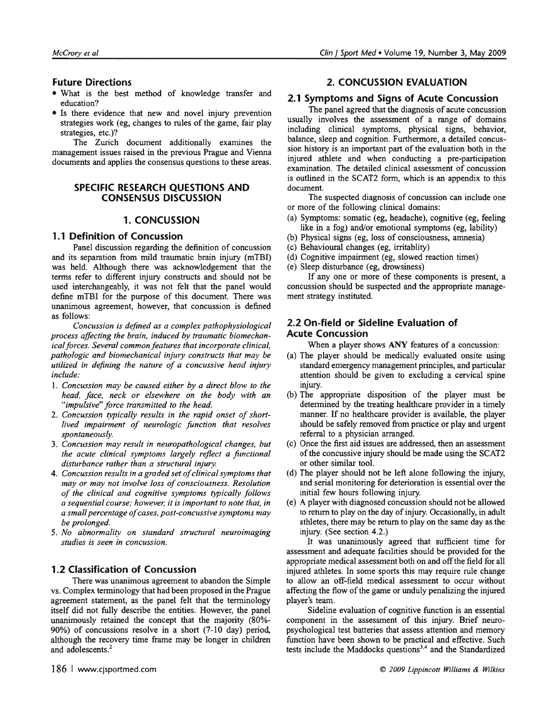# **Future Directions**

- · What is the best method of knowledge transfer and education?
- Is there evidence that new and novel injury prevention strategies work (eg, changes to rules of the game, fair play strategies, etc.)?

The Zurich document additionally examines the management issues raised in the previous Prague and Vienna documents and applies the consensus questions to these areas.

# SPECIFIC RESEARCH QUESTIONS AND **CONSENSUS DISCUSSION**

# 1. CONCUSSION

# 1.1 Definition of Concussion

Panel discussion regarding the definition of concussion and its separation from mild traumatic brain injury (mTBI) was held. Although there was acknowledgement that the terms refer to different injury constructs and should not be used interchangeably, it was not felt that the panel would define mTBI for the purpose of this document. There was unanimous agreement, however, that concussion is defined as follows:

Concussion is defined as a complex pathophysiological process affecting the brain, induced by traumatic biomechanical forces. Several common features that incorporate clinical, pathologic and biomechanical injury constructs that may be utilized in defining the nature of a concussive head injury include:

- 1. Concussion may be caused either by a direct blow to the head, face, neck or elsewhere on the body with an "impulsive" force transmitted to the head.
- 2. Concussion typically results in the rapid onset of shortlived impairment of neurologic function that resolves spontaneously.
- 3. Concussion may result in neuropathological changes, but the acute clinical symptoms largely reflect a functional disturbance rather than a structural injury.
- 4. Concussion results in a graded set of clinical symptoms that may or may not involve loss of consciousness. Resolution of the clinical and cognitive symptoms typically follows a sequential course; however, it is important to note that, in a small percentage of cases, post-concussive symptoms may be prolonged.
- 5. No abnormality on standard structural neuroimaging studies is seen in concussion.

# 1.2 Classification of Concussion

There was unanimous agreement to abandon the Simple vs. Complex terminology that had been proposed in the Prague agreement statement, as the panel felt that the terminology itself did not fully describe the entities. However, the panel unanimously retained the concept that the majority (80%-90%) of concussions resolve in a short (7-10 day) period, although the recovery time frame may be longer in children and adolescents.<sup>2</sup>

## **2. CONCUSSION EVALUATION**

## 2.1 Symptoms and Signs of Acute Concussion

The panel agreed that the diagnosis of acute concussion usually involves the assessment of a range of domains including clinical symptoms, physical signs, behavior, balance, sleep and cognition. Furthermore, a detailed concussion history is an important part of the evaluation both in the injured athlete and when conducting a pre-participation examination. The detailed clinical assessment of concussion is outlined in the SCAT2 form, which is an appendix to this document.

The suspected diagnosis of concussion can include one or more of the following clinical domains:

- (a) Symptoms: somatic (eg, headache), cognitive (eg, feeling like in a fog) and/or emotional symptoms (eg, lability)
- (b) Physical signs (eg, loss of consciousness, amnesia)
- (c) Behavioural changes (eg. irritablity)
- (d) Cognitive impairment (eg, slowed reaction times)
- (e) Sleep disturbance (eg, drowsiness)

If any one or more of these components is present, a concussion should be suspected and the appropriate management strategy instituted.

# 2.2 On-field or Sideline Evaluation of **Acute Concussion**

When a player shows ANY features of a concussion:

- (a) The player should be medically evaluated onsite using standard emergency management principles, and particular attention should be given to excluding a cervical spine injury.
- (b) The appropriate disposition of the player must be determined by the treating healthcare provider in a timely manner. If no healthcare provider is available, the player should be safely removed from practice or play and urgent referral to a physician arranged.
- (c) Once the first aid issues are addressed, then an assessment of the concussive injury should be made using the SCAT2 or other similar tool.
- (d) The player should not be left alone following the injury, and serial monitoring for deterioration is essential over the initial few hours following injury.
- (e) A player with diagnosed concussion should not be allowed to return to play on the day of injury. Occasionally, in adult athletes, there may be return to play on the same day as the injury. (See section 4.2.)

It was unanimously agreed that sufficient time for assessment and adequate facilities should be provided for the appropriate medical assessment both on and off the field for all injured athletes. In some sports this may require rule change to allow an off-field medical assessment to occur without affecting the flow of the game or unduly penalizing the injured player's team.

Sideline evaluation of cognitive function is an essential component in the assessment of this injury. Brief neuropsychological test batteries that assess attention and memory function have been shown to be practical and effective. Such tests include the Maddocks questions<sup>3,4</sup> and the Standardized

186 | www.cjsportmed.com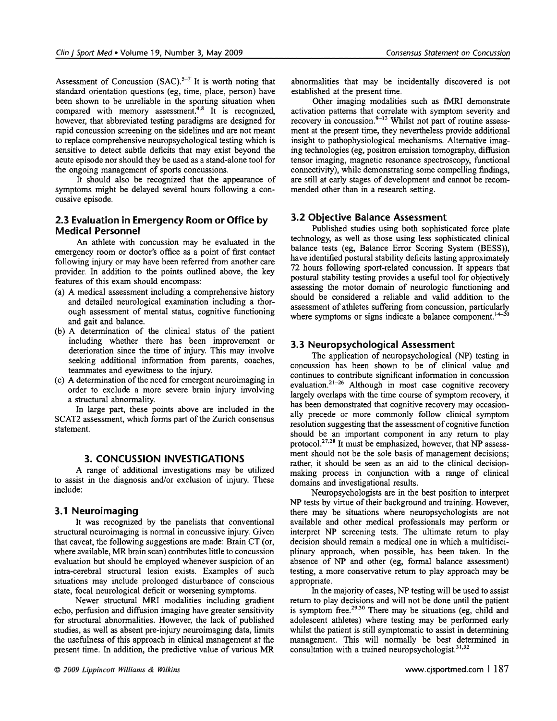Assessment of Concussion  $(SAC)^{5-7}$  It is worth noting that standard orientation questions (eg, time, place, person) have been shown to be unreliable in the sporting situation when compared with memory assessment.<sup>4,8</sup> It is recognized, however, that abbreviated testing paradigms are designed for rapid concussion screening on the sidelines and are not meant to replace comprehensive neuropsychological testing which is sensitive to detect subtle deficits that may exist beyond the acute episode nor should they be used as a stand-alone tool for the ongoing management of sports concussions.

It should also be recognized that the appearance of symptoms might be delayed several hours following a concussive episode.

# 2.3 Evaluation in Emergency Room or Office by **Medical Personnel**

An athlete with concussion may be evaluated in the emergency room or doctor's office as a point of first contact following injury or may have been referred from another care provider. In addition to the points outlined above, the key features of this exam should encompass:

- (a) A medical assessment including a comprehensive history and detailed neurological examination including a thorough assessment of mental status, cognitive functioning and gait and balance.
- (b) A determination of the clinical status of the patient including whether there has been improvement or deterioration since the time of injury. This may involve seeking additional information from parents, coaches, teammates and evewitness to the injury.
- (c) A determination of the need for emergent neuroimaging in order to exclude a more severe brain injury involving a structural abnormality.

In large part, these points above are included in the SCAT2 assessment, which forms part of the Zurich consensus statement.

#### **3. CONCUSSION INVESTIGATIONS**

A range of additional investigations may be utilized to assist in the diagnosis and/or exclusion of injury. These include:

#### 3.1 Neuroimaging

It was recognized by the panelists that conventional structural neuroimaging is normal in concussive injury. Given that caveat, the following suggestions are made: Brain CT (or, where available, MR brain scan) contributes little to concussion evaluation but should be employed whenever suspicion of an intra-cerebral structural lesion exists. Examples of such situations may include prolonged disturbance of conscious state, focal neurological deficit or worsening symptoms.

Newer structural MRI modalities including gradient echo, perfusion and diffusion imaging have greater sensitivity for structural abnormalities. However, the lack of published studies, as well as absent pre-injury neuroimaging data, limits the usefulness of this approach in clinical management at the present time. In addition, the predictive value of various MR

abnormalities that may be incidentally discovered is not established at the present time.

Other imaging modalities such as fMRI demonstrate activation patterns that correlate with symptom severity and recovery in concussion.<sup>9-13</sup> Whilst not part of routine assessment at the present time, they nevertheless provide additional insight to pathophysiological mechanisms. Alternative imaging technologies (eg, positron emission tomography, diffusion tensor imaging, magnetic resonance spectroscopy, functional connectivity), while demonstrating some compelling findings, are still at early stages of development and cannot be recommended other than in a research setting.

## 3.2 Objective Balance Assessment

Published studies using both sophisticated force plate technology, as well as those using less sophisticated clinical balance tests (eg. Balance Error Scoring System (BESS)). have identified postural stability deficits lasting approximately 72 hours following sport-related concussion. It appears that postural stability testing provides a useful tool for objectively assessing the motor domain of neurologic functioning and should be considered a reliable and valid addition to the assessment of athletes suffering from concussion, particularly where symptoms or signs indicate a balance component.<sup>14-20</sup>

## 3.3 Neuropsychological Assessment

The application of neuropsychological (NP) testing in concussion has been shown to be of clinical value and continues to contribute significant information in concussion evaluation.<sup>21-26</sup> Although in most case cognitive recovery largely overlaps with the time course of symptom recovery, it has been demonstrated that cognitive recovery may occasionally precede or more commonly follow clinical symptom resolution suggesting that the assessment of cognitive function should be an important component in any return to play protocol.<sup>27,28</sup> It must be emphasized, however, that NP assessment should not be the sole basis of management decisions; rather, it should be seen as an aid to the clinical decisionmaking process in conjunction with a range of clinical domains and investigational results.

Neuropsychologists are in the best position to interpret NP tests by virtue of their background and training. However, there may be situations where neuropsychologists are not available and other medical professionals may perform or interpret NP screening tests. The ultimate return to play decision should remain a medical one in which a multidisciplinary approach, when possible, has been taken. In the absence of NP and other (eg, formal balance assessment) testing, a more conservative return to play approach may be appropriate.

In the majority of cases, NP testing will be used to assist return to play decisions and will not be done until the patient is symptom free.<sup>29,30</sup> There may be situations (eg, child and adolescent athletes) where testing may be performed early whilst the patient is still symptomatic to assist in determining management. This will normally be best determined in consultation with a trained neuropsychologist.<sup>31,32</sup>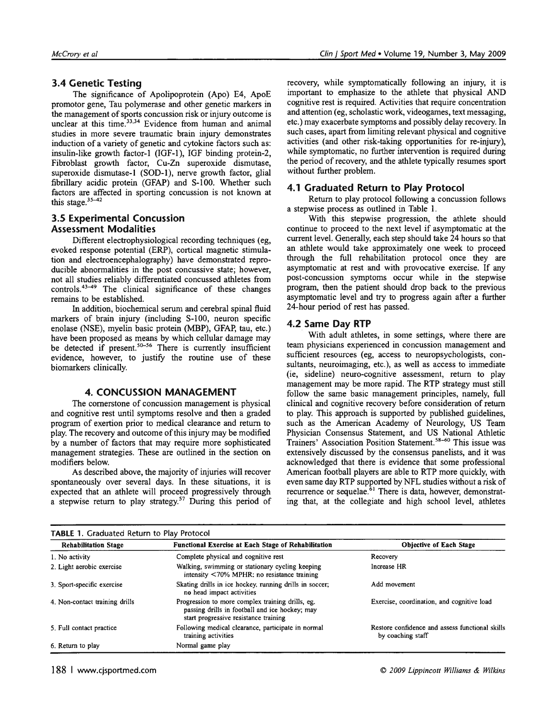# **3.4 Genetic Testing**

The significance of Apolipoprotein (Apo) E4, ApoE promotor gene, Tau polymerase and other genetic markers in the management of sports concussion risk or injury outcome is unclear at this time.<sup>33,34</sup> Evidence from human and animal studies in more severe traumatic brain injury demonstrates induction of a variety of genetic and cytokine factors such as: insulin-like growth factor-1 (IGF-1), IGF binding protein-2, Fibroblast growth factor, Cu-Zn superoxide dismutase, superoxide dismutase-1 (SOD-1), nerve growth factor, glial fibrillary acidic protein (GFAP) and S-100. Whether such factors are affected in sporting concussion is not known at this stage. $35-42$ 

# **3.5 Experimental Concussion Assessment Modalities**

Different electrophysiological recording techniques (eg, evoked response potential (ERP), cortical magnetic stimulation and electroencephalography) have demonstrated reproducible abnormalities in the post concussive state; however, not all studies reliably differentiated concussed athletes from controls.<sup>43-49</sup> The clinical significance of these changes remains to be established.

In addition, biochemical serum and cerebral spinal fluid markers of brain injury (including S-100, neuron specific enolase (NSE), myelin basic protein (MBP), GFAP, tau, etc.) have been proposed as means by which cellular damage may be detected if present.<sup>50-56</sup> There is currently insufficient evidence, however, to justify the routine use of these biomarkers clinically.

# **4. CONCUSSION MANAGEMENT**

The cornerstone of concussion management is physical and cognitive rest until symptoms resolve and then a graded program of exertion prior to medical clearance and return to play. The recovery and outcome of this injury may be modified by a number of factors that may require more sophisticated management strategies. These are outlined in the section on modifiers below.

As described above, the majority of injuries will recover spontaneously over several days. In these situations, it is expected that an athlete will proceed progressively through a stepwise return to play strategy.<sup>57</sup> During this period of recovery, while symptomatically following an injury, it is important to emphasize to the athlete that physical AND cognitive rest is required. Activities that require concentration and attention (eg, scholastic work, videogames, text messaging, etc.) may exacerbate symptoms and possibly delay recovery. In such cases, apart from limiting relevant physical and cognitive activities (and other risk-taking opportunities for re-injury). while symptomatic, no further intervention is required during the period of recovery, and the athlete typically resumes sport without further problem.

# 4.1 Graduated Return to Play Protocol

Return to play protocol following a concussion follows a stepwise process as outlined in Table 1.

With this stepwise progression, the athlete should continue to proceed to the next level if asymptomatic at the current level. Generally, each step should take 24 hours so that an athlete would take approximately one week to proceed through the full rehabilitation protocol once they are asymptomatic at rest and with provocative exercise. If any post-concussion symptoms occur while in the stepwise program, then the patient should drop back to the previous asymptomatic level and try to progress again after a further 24-hour period of rest has passed.

# 4.2 Same Day RTP

With adult athletes, in some settings, where there are team physicians experienced in concussion management and sufficient resources (eg, access to neuropsychologists, consultants, neuroimaging, etc.), as well as access to immediate (ie, sideline) neuro-cognitive assessment, return to play management may be more rapid. The RTP strategy must still follow the same basic management principles, namely, full clinical and cognitive recovery before consideration of return to play. This approach is supported by published guidelines, such as the American Academy of Neurology, US Team Physician Consensus Statement, and US National Athletic Trainers' Association Position Statement.<sup>58-60</sup> This issue was extensively discussed by the consensus panelists, and it was acknowledged that there is evidence that some professional American football players are able to RTP more quickly, with even same day RTP supported by NFL studies without a risk of recurrence or sequelae.<sup>61</sup> There is data, however, demonstrating that, at the collegiate and high school level, athletes

| <b>Rehabilitation Stage</b>    | Functional Exercise at Each Stage of Rehabilitation                                                                                         | <b>Objective of Each Stage</b>                                       |
|--------------------------------|---------------------------------------------------------------------------------------------------------------------------------------------|----------------------------------------------------------------------|
| 1. No activity                 | Complete physical and cognitive rest                                                                                                        | Recovery                                                             |
| 2. Light aerobic exercise      | Walking, swimming or stationary cycling keeping<br>intensity $\leq 70\%$ MPHR; no resistance training                                       | Increase HR                                                          |
| 3. Sport-specific exercise     | Skating drills in ice hockey, running drills in soccer;<br>no head impact activities                                                        | Add movement                                                         |
| 4. Non-contact training drills | Progression to more complex training drills, eg.<br>passing drills in football and ice hockey; may<br>start progressive resistance training | Exercise, coordination, and cognitive load                           |
| 5. Full contact practice       | Following medical clearance, participate in normal<br>training activities                                                                   | Restore confidence and assess functional skills<br>by coaching staff |
| 6. Return to play              | Normal game play                                                                                                                            |                                                                      |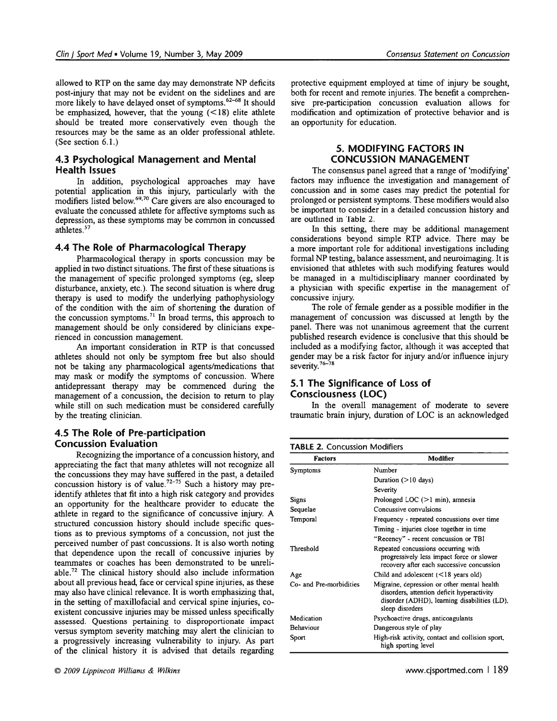allowed to RTP on the same day may demonstrate NP deficits post-injury that may not be evident on the sidelines and are more likely to have delayed onset of symptoms.<sup>62-68</sup> It should be emphasized, however, that the young  $(<18)$  elite athlete should be treated more conservatively even though the resources may be the same as an older professional athlete. (See section  $6.1$ .)

# 4.3 Psychological Management and Mental **Health Issues**

In addition, psychological approaches may have potential application in this injury, particularly with the modifiers listed below.<sup>69,70</sup> Care givers are also encouraged to evaluate the concussed athlete for affective symptoms such as depression, as these symptoms may be common in concussed athletes.<sup>57</sup>

#### 4.4 The Role of Pharmacological Therapy

Pharmacological therapy in sports concussion may be applied in two distinct situations. The first of these situations is the management of specific prolonged symptoms (eg, sleep) disturbance, anxiety, etc.). The second situation is where drug therapy is used to modify the underlying pathophysiology of the condition with the aim of shortening the duration of the concussion symptoms.<sup>71</sup> In broad terms, this approach to management should be only considered by clinicians experienced in concussion management.

An important consideration in RTP is that concussed athletes should not only be symptom free but also should not be taking any pharmacological agents/medications that may mask or modify the symptoms of concussion. Where antidepressant therapy may be commenced during the management of a concussion, the decision to return to play while still on such medication must be considered carefully by the treating clinician.

# 4.5 The Role of Pre-participation **Concussion Evaluation**

Recognizing the importance of a concussion history, and appreciating the fact that many athletes will not recognize all the concussions they may have suffered in the past, a detailed concussion history is of value.<sup>72-75</sup> Such a history may preidentify athletes that fit into a high risk category and provides an opportunity for the healthcare provider to educate the athlete in regard to the significance of concussive injury. A structured concussion history should include specific questions as to previous symptoms of a concussion, not just the perceived number of past concussions. It is also worth noting that dependence upon the recall of concussive injuries by teammates or coaches has been demonstrated to be unreliable.<sup>72</sup> The clinical history should also include information about all previous head, face or cervical spine injuries, as these may also have clinical relevance. It is worth emphasizing that, in the setting of maxillofacial and cervical spine injuries, coexistent concussive injuries may be missed unless specifically assessed. Questions pertaining to disproportionate impact versus symptom severity matching may alert the clinician to a progressively increasing vulnerability to injury. As part of the clinical history it is advised that details regarding

protective equipment employed at time of injury be sought, both for recent and remote injuries. The benefit a comprehensive pre-participation concussion evaluation allows for modification and optimization of protective behavior and is an opportunity for education.

## **5. MODIFYING FACTORS IN CONCUSSION MANAGEMENT**

The consensus panel agreed that a range of 'modifying' factors may influence the investigation and management of concussion and in some cases may predict the potential for prolonged or persistent symptoms. These modifiers would also be important to consider in a detailed concussion history and are outlined in Table 2.

In this setting, there may be additional management considerations beyond simple RTP advice. There may be a more important role for additional investigations including formal NP testing, balance assessment, and neuroimaging. It is envisioned that athletes with such modifying features would be managed in a multidisciplinary manner coordinated by a physician with specific expertise in the management of concussive injury.

The role of female gender as a possible modifier in the management of concussion was discussed at length by the panel. There was not unanimous agreement that the current published research evidence is conclusive that this should be included as a modifying factor, although it was accepted that gender may be a risk factor for injury and/or influence injury severity.  $76-78$ 

## 5.1 The Significance of Loss of **Consciousness (LOC)**

In the overall management of moderate to severe traumatic brain injury, duration of LOC is an acknowledged

| <b>TABLE 2. Concussion Modifiers</b> |                                                                                                                                                              |  |  |  |
|--------------------------------------|--------------------------------------------------------------------------------------------------------------------------------------------------------------|--|--|--|
| <b>Factors</b>                       | Modifier                                                                                                                                                     |  |  |  |
| Symptoms                             | Number                                                                                                                                                       |  |  |  |
|                                      | Duration $(>10$ days)                                                                                                                                        |  |  |  |
|                                      | Severity                                                                                                                                                     |  |  |  |
| Signs                                | Prolonged LOC $(>1$ min), amnesia                                                                                                                            |  |  |  |
| Sequelae                             | Concussive convulsions                                                                                                                                       |  |  |  |
| Temporal                             | Frequency - repeated concussions over time                                                                                                                   |  |  |  |
|                                      | Timing - injuries close together in time                                                                                                                     |  |  |  |
|                                      | "Recency" - recent concussion or TBI                                                                                                                         |  |  |  |
| Threshold                            | Repeated concussions occurring with<br>progressively less impact force or slower<br>recovery after each successive concussion                                |  |  |  |
| Age                                  | Child and adolescent $($ < 18 years old)                                                                                                                     |  |  |  |
| Co- and Pre-morbidities              | Migraine, depression or other mental health<br>disorders, attention deficit hyperactivity<br>disorder (ADHD), learning disabilities (LD),<br>sleep disorders |  |  |  |
| Medication                           | Psychoactive drugs, anticoagulants                                                                                                                           |  |  |  |
| Behaviour                            | Dangerous style of play                                                                                                                                      |  |  |  |
| Sport                                | High-risk activity, contact and collision sport,<br>high sporting level                                                                                      |  |  |  |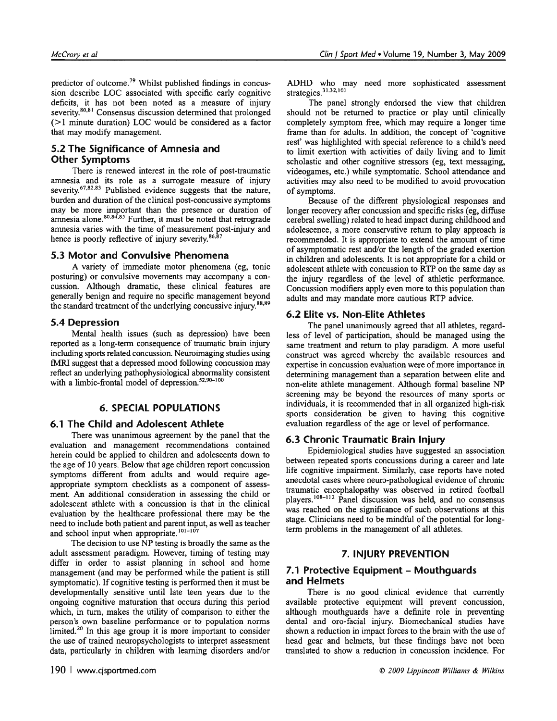predictor of outcome.<sup>79</sup> Whilst published findings in concussion describe LOC associated with specific early cognitive deficits, it has not been noted as a measure of injury severity.<sup>80,81</sup> Consensus discussion determined that prolonged  $($ >1 minute duration) LOC would be considered as a factor that may modify management.

# 5.2 The Significance of Amnesia and **Other Symptoms**

There is renewed interest in the role of post-traumatic amnesia and its role as a surrogate measure of injury severity.<sup>67,82.83</sup> Published evidence suggests that the nature, burden and duration of the clinical post-concussive symptoms may be more important than the presence or duration of amnesia alone.<sup>80,84,85</sup> Further, it must be noted that retrograde amnesia varies with the time of measurement post-injury and hence is poorly reflective of injury severity.<sup>86,87</sup>

## 5.3 Motor and Convulsive Phenomena

A variety of immediate motor phenomena (eg, tonic posturing) or convulsive movements may accompany a concussion. Although dramatic, these clinical features are generally benign and require no specific management beyond the standard treatment of the underlying concussive injury.<sup>88,89</sup>

## 5.4 Depression

Mental health issues (such as depression) have been reported as a long-term consequence of traumatic brain injury including sports related concussion. Neuroimaging studies using fMRI suggest that a depressed mood following concussion may reflect an underlying pathophysiological abnormality consistent with a limbic-frontal model of depression.<sup>52,90-100</sup>

# **6. SPECIAL POPULATIONS**

#### 6.1 The Child and Adolescent Athlete

There was unanimous agreement by the panel that the evaluation and management recommendations contained herein could be applied to children and adolescents down to the age of 10 years. Below that age children report concussion symptoms different from adults and would require ageappropriate symptom checklists as a component of assessment. An additional consideration in assessing the child or adolescent athlete with a concussion is that in the clinical evaluation by the healthcare professional there may be the need to include both patient and parent input, as well as teacher and school input when appropriate.<sup>101-107</sup>

The decision to use NP testing is broadly the same as the adult assessment paradigm. However, timing of testing may differ in order to assist planning in school and home management (and may be performed while the patient is still symptomatic). If cognitive testing is performed then it must be developmentally sensitive until late teen years due to the ongoing cognitive maturation that occurs during this period which, in turn, makes the utility of comparison to either the person's own baseline performance or to population norms limited.<sup>20</sup> In this age group it is more important to consider the use of trained neuropsychologists to interpret assessment data, particularly in children with learning disorders and/or ADHD who may need more sophisticated assessment strategies.<sup>31,32,101</sup>

The panel strongly endorsed the view that children should not be returned to practice or play until clinically completely symptom free, which may require a longer time frame than for adults. In addition, the concept of 'cognitive rest' was highlighted with special reference to a child's need to limit exertion with activities of daily living and to limit scholastic and other cognitive stressors (eg. text messaging, videogames, etc.) while symptomatic. School attendance and activities may also need to be modified to avoid provocation of symptoms.

Because of the different physiological responses and longer recovery after concussion and specific risks (eg, diffuse cerebral swelling) related to head impact during childhood and adolescence, a more conservative return to play approach is recommended. It is appropriate to extend the amount of time of asymptomatic rest and/or the length of the graded exertion in children and adolescents. It is not appropriate for a child or adolescent athlete with concussion to RTP on the same day as the injury regardless of the level of athletic performance. Concussion modifiers apply even more to this population than adults and may mandate more cautious RTP advice.

#### 6.2 Elite vs. Non-Elite Athletes

The panel unanimously agreed that all athletes, regardless of level of participation, should be managed using the same treatment and return to play paradigm. A more useful construct was agreed whereby the available resources and expertise in concussion evaluation were of more importance in determining management than a separation between elite and non-elite athlete management. Although formal baseline NP screening may be beyond the resources of many sports or individuals, it is recommended that in all organized high-risk sports consideration be given to having this cognitive evaluation regardless of the age or level of performance.

# 6.3 Chronic Traumatic Brain Injury

Epidemiological studies have suggested an association between repeated sports concussions during a career and late life cognitive impairment. Similarly, case reports have noted anecdotal cases where neuro-pathological evidence of chronic traumatic encephalopathy was observed in retired football players.<sup>108-112</sup> Panel discussion was held, and no consensus was reached on the significance of such observations at this stage. Clinicians need to be mindful of the potential for longterm problems in the management of all athletes.

# 7. INJURY PREVENTION

## 7.1 Protective Equipment - Mouthguards and Helmets

There is no good clinical evidence that currently available protective equipment will prevent concussion, although mouthguards have a definite role in preventing dental and oro-facial injury. Biomechanical studies have shown a reduction in impact forces to the brain with the use of head gear and helmets, but these findings have not been translated to show a reduction in concussion incidence. For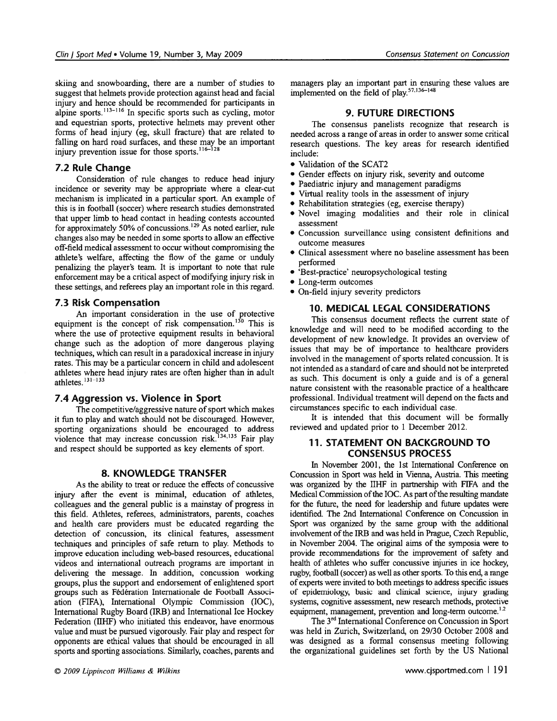skiing and snowboarding, there are a number of studies to suggest that helmets provide protection against head and facial injury and hence should be recommended for participants in alpine sports.<sup>113-116</sup> In specific sports such as cycling, motor and equestrian sports, protective helmets may prevent other forms of head injury (eg. skull fracture) that are related to falling on hard road surfaces, and these may be an important<br>injury prevention issue for those sports.<sup>116-128</sup>

## 7.2 Rule Change

Consideration of rule changes to reduce head injury incidence or severity may be appropriate where a clear-cut mechanism is implicated in a particular sport. An example of this is in football (soccer) where research studies demonstrated that upper limb to head contact in heading contests accounted for approximately 50% of concussions.<sup>129</sup> As noted earlier, rule changes also may be needed in some sports to allow an effective off-field medical assessment to occur without compromising the athlete's welfare, affecting the flow of the game or unduly penalizing the player's team. It is important to note that rule enforcement may be a critical aspect of modifying injury risk in these settings, and referees play an important role in this regard.

## 7.3 Risk Compensation

An important consideration in the use of protective equipment is the concept of risk compensation.<sup>130</sup> This is where the use of protective equipment results in behavioral change such as the adoption of more dangerous playing techniques, which can result in a paradoxical increase in injury rates. This may be a particular concern in child and adolescent athletes where head injury rates are often higher than in adult athletes.<sup>131-133</sup>

# 7.4 Aggression vs. Violence in Sport

The competitive/aggressive nature of sport which makes it fun to play and watch should not be discouraged. However, sporting organizations should be encouraged to address violence that may increase concussion risk.<sup>134,135</sup> Fair play and respect should be supported as key elements of sport.

#### **8. KNOWLEDGE TRANSFER**

As the ability to treat or reduce the effects of concussive injury after the event is minimal, education of athletes, colleagues and the general public is a mainstay of progress in this field. Athletes, referees, administrators, parents, coaches and health care providers must be educated regarding the detection of concussion, its clinical features, assessment techniques and principles of safe return to play. Methods to improve education including web-based resources, educational videos and international outreach programs are important in delivering the message. In addition, concussion working groups, plus the support and endorsement of enlightened sport groups such as Fédération Internationale de Football Association (FIFA), International Olympic Commission (IOC), International Rugby Board (IRB) and International Ice Hockey Federation (IIHF) who initiated this endeavor, have enormous value and must be pursued vigorously. Fair play and respect for opponents are ethical values that should be encouraged in all sports and sporting associations. Similarly, coaches, parents and managers play an important part in ensuring these values are implemented on the field of play.<sup>57,136-148</sup>

# **9. FUTURE DIRECTIONS**

The consensus panelists recognize that research is needed across a range of areas in order to answer some critical research questions. The key areas for research identified include:

- Validation of the SCAT2
- Gender effects on injury risk, severity and outcome
- Paediatric injury and management paradigms
- Virtual reality tools in the assessment of injury
- Rehabilitation strategies (eg. exercise therapy)
- · Novel imaging modalities and their role in clinical assessment
- Concussion surveillance using consistent definitions and outcome measures
- Clinical assessment where no baseline assessment has been performed
- Best-practice' neuropsychological testing
- Long-term outcomes
- On-field injury severity predictors

# **10. MEDICAL LEGAL CONSIDERATIONS**

This consensus document reflects the current state of knowledge and will need to be modified according to the development of new knowledge. It provides an overview of issues that may be of importance to healthcare providers involved in the management of sports related concussion. It is not intended as a standard of care and should not be interpreted as such. This document is only a guide and is of a general nature consistent with the reasonable practice of a healthcare professional. Individual treatment will depend on the facts and circumstances specific to each individual case.

It is intended that this document will be formally reviewed and updated prior to 1 December 2012.

# **11. STATEMENT ON BACKGROUND TO CONSENSUS PROCESS**

In November 2001, the 1st International Conference on Concussion in Sport was held in Vienna, Austria. This meeting was organized by the IIHF in partnership with FIFA and the Medical Commission of the IOC. As part of the resulting mandate for the future, the need for leadership and future updates were identified. The 2nd International Conference on Concussion in Sport was organized by the same group with the additional involvement of the IRB and was held in Prague, Czech Republic, in November 2004. The original aims of the symposia were to provide recommendations for the improvement of safety and health of athletes who suffer concussive injuries in ice hockey, rugby, football (soccer) as well as other sports. To this end, a range of experts were invited to both meetings to address specific issues of epidemiology, basic and clinical science, injury grading systems, cognitive assessment, new research methods, protective equipment, management, prevention and long-term outcome.<sup>12</sup>

The 3<sup>rd</sup> International Conference on Concussion in Sport was held in Zurich, Switzerland, on 29/30 October 2008 and was designed as a formal consensus meeting following the organizational guidelines set forth by the US National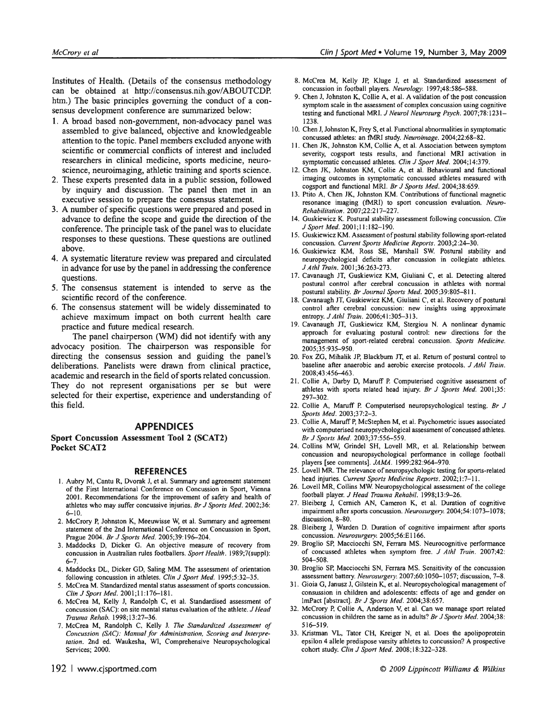Institutes of Health. (Details of the consensus methodology can be obtained at http://consensus.nih.gov/ABOUTCDP. htm.) The basic principles governing the conduct of a consensus development conference are summarized below:

- 1. A broad based non-government, non-advocacy panel was assembled to give balanced, objective and knowledgeable attention to the topic. Panel members excluded anyone with scientific or commercial conflicts of interest and included researchers in clinical medicine, sports medicine, neuroscience, neuroimaging, athletic training and sports science.
- 2. These experts presented data in a public session, followed by inquiry and discussion. The panel then met in an executive session to prepare the consensus statement.
- 3. A number of specific questions were prepared and posed in advance to define the scope and guide the direction of the conference. The principle task of the panel was to elucidate responses to these questions. These questions are outlined above.
- 4. A systematic literature review was prepared and circulated in advance for use by the panel in addressing the conference questions.
- 5. The consensus statement is intended to serve as the scientific record of the conference.
- 6. The consensus statement will be widely disseminated to achieve maximum impact on both current health care practice and future medical research.

The panel chairperson (WM) did not identify with any advocacy position. The chairperson was responsible for directing the consensus session and guiding the panel's deliberations. Panelists were drawn from clinical practice, academic and research in the field of sports related concussion. They do not represent organisations per se but were selected for their expertise, experience and understanding of this field.

#### **APPENDICES**

#### **Sport Concussion Assessment Tool 2 (SCAT2) Pocket SCAT2**

#### **REFERENCES**

- 1. Aubry M, Cantu R, Dvorak J, et al. Summary and agreement statement of the First International Conference on Concussion in Sport, Vienna 2001. Recommendations for the improvement of safety and health of athletes who may suffer concussive injuries. Br J Sports Med. 2002;36:  $6 - 10$
- 2. McCrory P, Johnston K, Meeuwisse W, et al. Summary and agreement statement of the 2nd International Conference on Concussion in Sport, Prague 2004. Br J Sports Med. 2005;39:196-204.
- 3. Maddocks D, Dicker G. An objective measure of recovery from concussion in Australian rules footballers. Sport Health. 1989;7(suppl):  $6 - 7.$
- 4. Maddocks DL, Dicker GD, Saling MM. The assessment of orientation following concussion in athletes. Clin J Sport Med. 1995;5:32-35.
- 5. McCrea M. Standardized mental status assessment of sports concussion. Clin J Sport Med. 2001;11:176-181.
- 6. McCrea M, Kelly J, Randolph C, et al. Standardised assessment of concussion (SAC): on site mental status evaluation of the athlete. J Head Trauma Rehab. 1998;13:27-36.
- 7. McCrea M, Randolph C, Kelly J. The Standardized Assessment of Concussion (SAC): Manual for Administration, Scoring and Interpretation. 2nd ed. Waukesha, Wl, Comprehensive Neuropsychological Services; 2000.
- 
- 8. McCrea M, Kelly JP, Kluge J, et al. Standardized assessment of concussion in football players. Neurology. 1997;48:586-588.
- 9. Chen J, Johnston K, Collie A, et al. A validation of the post concussion symptom scale in the assessment of complex concussion using cognitive testing and functional MRI. J Neurol Neurosurg Psych. 2007;78:1231-1238.
- 10. Chen J, Johnston K, Frey S, et al. Functional abnormalities in symptomatic concussed athletes: an fMRI study. Neuroimage. 2004;22:68-82.
- 11. Chen JK, Johnston KM, Collie A, et al. Association between symptom severity, cogsport tests results, and functional MRI activation in symptomatic concussed athletes. Clin J Sport Med. 2004;14:379.
- 12. Chen JK, Johnston KM, Collie A, et al. Behavioural and functional imaging outcomes in symptomatic concussed athletes measured with cogsport and functional MRI. Br J Sports Med. 2004;38:659.
- 13. Ptito A, Chen JK, Johnston KM. Contributions of functional magnetic resonance imaging (fMRI) to sport concussion evaluation. Neuro-Rehabilitation. 2007;22:217-227.
- 14. Guskiewicz K. Postural stability assessment following concussion. Clin J Sport Med. 2001;11:182-190.
- 15. Guskiewicz KM. Assessment of postural stability following sport-related concussion. Current Sports Medicine Reports. 2003;2:24-30.
- 16. Guskiewicz KM, Ross SE, Marshall SW. Postural stability and neuropsychological deficits after concussion in collegiate athletes. J Athl Train. 2001;36:263-273.
- 17. Cavanaugh JT, Guskiewicz KM, Giuliani C, et al. Detecting altered postural control after cerebral concussion in athletes with normal postural stability. Br Journal Sports Med. 2005;39:805-811.
- 18. Cavanaugh JT, Guskiewicz KM, Giuliani C, et al. Recovery of postural control after cerebral concussion: new insights using approximate entropy. J Athl Train. 2006;41:305-313.
- 19. Cavanaugh JT, Guskiewicz KM, Stergiou N. A nonlinear dynamic approach for evaluating postural control: new directions for the management of sport-related cerebral concussion. Sports Medicine. 2005;35:935-950.
- 20. Fox ZG, Mihalik JP, Blackburn JT, et al. Return of postural control to baseline after anaerobic and aerobic exercise protocols. J Athl Train. 2008:43:456-463.
- 21. Collie A, Darby D, Maruff P. Computerised cognitive assessment of athletes with sports related head injury. Br J Sports Med. 2001;35: 297-302.
- 22. Collie A, Maruff P. Computerised neuropsychological testing. Br J Sports Med. 2003;37:2-3.
- 23. Collie A, Maruff P, McStephen M, et al. Psychometric issues associated with computerised neuropsychological assessment of concussed athletes. Br J Sports Med. 2003;37:556-559.
- 24. Collins MW, Grindel SH, Lovell MR, et al. Relationship between concussion and neuropsychological performance in college football players [see comments]. JAMA. 1999:282:964-970.
- 25. Lovell MR. The relevance of neuropsychologic testing for sports-related head injuries. Current Sports Medicine Reports. 2002;1:7-11.
- 26. Lovell MR, Collins MW. Neuropsychological assessment of the college football player. J Head Trauma Rehabil. 1998;13:9-26.
- 27. Bleiberg J, Cernich AN, Cameron K, et al. Duration of cognitive impairment after sports concussion. Neurosurgery. 2004;54:1073--1078; discussion, 8-80.
- 28. Bleiberg J, Warden D. Duration of cognitive impairment after sports concussion. Neurosurgery. 2005;56:E1166.
- 29. Broglio SP, Macciocchi SN, Ferrara MS. Neurocognitive performance of concussed athletes when symptom free. J Athl Train. 2007;42: 504-508
- 30. Broglio SP, Macciocchi SN, Ferrara MS. Sensitivity of the concussion assessment battery. Neurosurgery. 2007:60:1050-1057; discussion, 7-8.
- 31. Gioia G, Janusz J, Gilstein K, et al. Neuropsychological management of consussion in children and adolescents: effects of age and gender on ImPact [abstract]. Br J Sports Med. 2004;38:657.
- 32. McCrory P, Collie A, Anderson V, et al. Can we manage sport related concussion in children the same as in adults? Br J Sports Med. 2004;38: 516-519.
- 33. Kristman VL, Tator CH, Kreiger N, et al. Does the apolipoprotein epsilon 4 allele predispose varsity athletes to concussion? A prospective cohort study. Clin J Sport Med. 2008;18:322-328.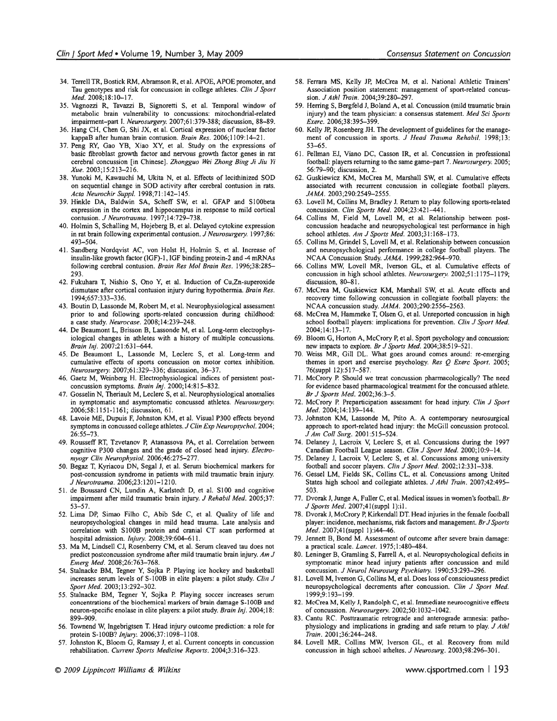- 34. Terrell TR, Bostick RM, Abramson R, et al. APOE, APOE promoter, and Tau genotypes and risk for concussion in college athletes. Clin J Sport Med. 2008;18:10-17.
- 35. Vagnozzi R, Tavazzi B, Signoretti S, et al. Temporal window of metabolic brain vulnerability to concussions: mitochondrial-related impairment--part I. Neurosurgery. 2007;61:379-388; discussion, 88-89.
- 36. Hang CH, Chen G, Shi JX, et al. Cortical expression of nuclear factor kappaB after human brain contusion. Brain Res. 2006:1109:14-21.
- 37. Peng RY, Gao YB, Xiao XY, et al. Study on the expressions of basic fibroblast growth factor and nervous growth factor genes in rat cerebral concussion [in Chinese]. Zhongguo Wei Zhong Bing Ji Jiu Yi Xue. 2003;15:213-216.
- 38. Yunoki M, Kawauchi M, Ukita N, et al. Effects of lecithinized SOD on sequential change in SOD activity after cerebral contusion in rats. Acta Neurochir Suppl. 1998;71:142-145.
- 39. Hinkle DA, Baldwin SA, Scheff SW, et al. GFAP and S100beta expression in the cortex and hippocampus in response to mild cortical contusion. J Neurotrauma. 1997;14:729-738.
- 40. Holmin S, Schalling M, Hojeberg B, et al. Delayed cytokine expression in rat brain following experimental contusion. J Neurosurgery. 1997;86: 493-504.
- 41. Sandberg Nordqvist AC, von Holst H, Holmin S, et al. Increase of insulin-like growth factor (IGF)-1, IGF binding protein-2 and -4 mRNAs following cerebral contusion. Brain Res Mol Brain Res. 1996;38:285-293
- 42. Fukuhara T, Nishio S, Ono Y, et al. Induction of Cu, Zn-superoxide dismutase after cortical contusion injury during hypothermia. Brain Res. 1994;657:333-336.
- 43. Boutin D, Lassonde M, Robert M, et al. Neurophysiological assessment prior to and following sports-related concussion during childhood: a case study. Neurocase. 2008;14:239-248.
- 44. De Beaumont L, Brisson B, Lassonde M, et al. Long-term electrophysiological changes in athletes with a history of multiple concussions. Brain Inj. 2007;21:631-644.
- 45. De Beaumont L, Lassonde M, Leclerc S, et al. Long-term and cumulative effects of sports concussion on motor cortex inhibition. Neurosurgery. 2007;61:329-336; discussion, 36-37.
- 46. Gaetz M, Weinberg H. Electrophysiological indices of persistent postconcussion symptoms. Brain Inj. 2000;14:815-832.
- 47. Gosselin N, Theriault M, Leclerc S, et al. Neurophysiological anomalies in symptomatic and asymptomatic concussed athletes. Neurosurgery. 2006;58:1151-1161; discussion, 61.
- 48. Lavoie ME, Dupuis F, Johnston KM, et al. Visual P300 effects beyond symptoms in concussed college athletes. J Clin Exp Neuropsychol. 2004;  $26:55 - 73$ .
- 49. Rousseff RT, Tzvetanov P, Atanassova PA, et al. Correlation between cognitive P300 changes and the grade of closed head injury. Electromyogr Clin Neurophysiol. 2006;46:275-277.
- 50. Begaz T, Kyriacou DN, Segal J, et al. Serum biochemical markers for post-concussion syndrome in patients with mild traumatic brain injury. J Neurotrauma. 2006;23:1201-1210.
- 51. de Boussard CN, Lundin A, Karlstedt D, et al. S100 and cognitive impairment after mild traumatic brain injury. J Rehabil Med. 2005;37:  $53 - 57$
- 52. Lima DP, Simao Filho C, Abib Sde C, et al. Quality of life and neuropsychological changes in mild head trauma. Late analysis and correlation with S100B protein and cranial CT scan performed at hospital admission. Injury. 2008;39:604-611.
- 53. Ma M, Lindsell CJ, Rosenberry CM, et al. Serum cleaved tau does not predict postconcussion syndrome after mild traumatic brain injury. Am J Emerg Med. 2008;26:763-768.
- 54. Stalnacke BM, Tegner Y, Sojka P. Playing ice hockey and basketball increases serum levels of S-100B in elite players: a pilot study. Clin J Sport Med. 2003;13:292-302.
- 55. Stalnacke BM, Tegner Y, Sojka P. Playing soccer increases serum concentrations of the biochemical markers of brain damage S-100B and neuron-specific enolase in elite players: a pilot study. Brain Inj. 2004;18: 899-909
- 56. Townend W, Ingebrigtsen T. Head injury outcome prediction: a role for protein S-100B? Injury. 2006;37:1098-1108.
- 57. Johnston K, Bloom G, Ramsay J, et al. Current concepts in concussion rehabilitation. Current Sports Medicine Reports. 2004;3:316-323.

© 2009 Lippincott Williams & Wilkins

- 58. Ferrara MS, Kelly JP, McCrea M, et al. National Athletic Trainers' Association position statement: management of sport-related concussion. J Athl Train. 2004;39:280-297.
- 59. Herring S, Bergfeld J, Boland A, et al. Concussion (mild traumatic brain injury) and the team physician: a consensus statement. Med Sci Sports Exerc. 2006;38:395-399.
- 60. Kelly JP, Rosenberg JH. The development of guidelines for the management of concussion in sports. J Head Trauma Rehabil. 1998;13:  $53 - 65$ .
- 61. Pellman EJ, Viano DC, Casson IR, et al. Concussion in professional football: players returning to the same game-part 7. Neurosurgery. 2005; 56:79-90; discussion, 2.
- 62. Guskiewicz KM, McCrea M, Marshall SW, et al. Cumulative effects associated with recurrent concussion in collegiate football players. JAMA. 2003;290:2549-2555.
- 63. Lovell M, Collins M, Bradley J. Return to play following sports-related concussion. Clin Sports Med. 2004;23:421-441.
- Collins M, Field M, Lovell M, et al. Relationship between postconcussion headache and neuropsychological test performance in high school athletes. Am J Sports Med. 2003;31:168-173.
- 65. Collins M, Grindel S, Lovell M, et al. Relationship between concussion and neuropsychological performance in college football players. The NCAA Concussion Study. JAMA. 1999;282:964-970.
- 66. Collins MW, Lovell MR, Iverson GL, et al. Cumulative effects of concussion in high school athletes. Neurosurgerv. 2002;51:1175-1179; discussion, 80-81.
- 67. McCrea M, Guskiewicz KM, Marshall SW, et al. Acute effects and recovery time following concussion in collegiate football players: the NCAA concussion study. JAMA. 2003;290:2556-2563.
- 68. McCrea M, Hammeke T, Olsen G, et al. Unreported concussion in high school football players: implications for prevention. Clin J Sport Med.  $2004:14:13-17$
- 69. Bloom G, Horton A, McCrory P, et al. Sport psychology and concussion: new inipacts to explore. Br J Sports Med. 2004;38:519-521.
- 70. Weiss MR, Gill DL. What goes around comes around: re-emerging themes in sport and exercise psychology. Res Q Exerc Sport. 2005; 76(suppl 12):517-587.
- 71. McCrory P. Should we treat concussion pharmacologically? The need for evidence based pharmacological treatment for the concussed athlete. Br J Sports Med. 2002;36:3-5.
- 72. McCrory P. Preparticipation assessment for head injury. Clin J Sport Med. 2004;14:139-144.
- 73. Johnston KM, Lassonde M, Ptito A. A contemporary neurosurgical approach to sport-related head injury: the McGill concussion protocol. J Am Coll Surg. 2001:515-524.
- 74. Delaney J, Lacroix V, Leclerc S, et al. Concussions during the 1997 Canadian Football League season. Clin J Sport Med. 2000;10:9-14.
- 75. Delaney J, Lacroix V, Leclerc S, et al. Concussions among university football and soccer players. Clin J Sport Med. 2002;12:331-338.
- 76. Gessel LM, Fields SK, Collins CL, et al. Concussions among United States high school and collegiate athletes. J Athl Train. 2007;42:495-503.
- 77. Dvorak J, Junge A, Fuller C, et al. Medical issues in women's football. Br J Sports Med. 2007;41(suppl 1):i1.
- 78. Dvorak J, McCrory P, Kirkendall DT. Head injuries in the female football player: incidence, mechanisms, risk factors and management. Br J Sports Med. 2007;41(suppl 1):i44-46.
- 79. Jennett B, Bond M. Assessment of outcome after severe brain damage: a practical scale. Lancet. 1975;1:480-484.
- 80. Leninger B, Gramling S, Farrell A, et al. Neuropsychological deficits in symptomatic minor head injury patients after concussion and mild concussion. J Neurol Neurosurg Psychiatry. 1990;53:293-296.
- 81. Lovell M, Iverson G, Collins M, et al. Does loss of consciousness predict neuropsychological decrements after concussion. Clin J Sport Med. 1999;9:193-199.
- 82. McCrea M, Kelly J, Randolph C, et al. Immediate neurocognitive effects of concussion. Neurosurgery. 2002;50:1032-1042.
- Cantu RC. Posttraumatic retrograde and anterograde amnesia: pathophysiology and implications in grading and safe return to play. J Athl Train. 2001;36:244-248.
- 84. Lovell MR, Collins MW, Iverson GL, et al. Recovery from mild concussion in high school atheltes. J Neurosurg. 2003;98:296-301.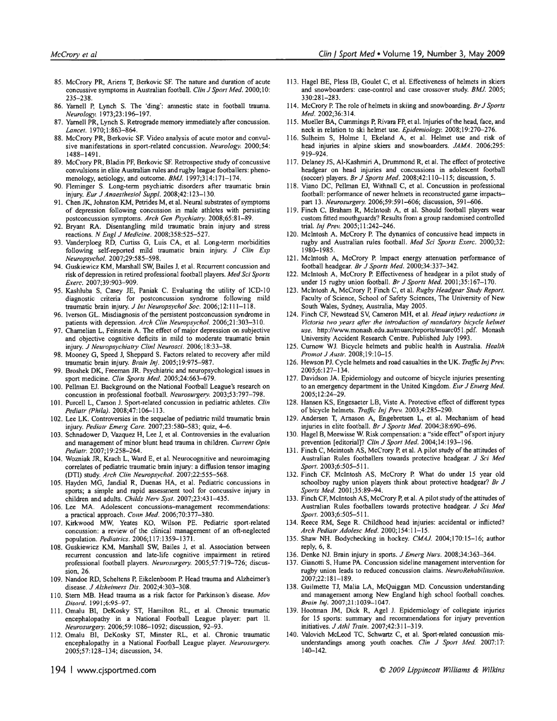- 85. McCrory PR, Ariens T, Berkovic SF. The nature and duration of acute concussive symptoms in Australian football. Clin J Sport Med. 2000;10: 235-238.
- 86. Yarnell P, Lynch S. The 'ding': anmestic state in football trauma. Neurology. 1973;23:196-197.
- 87. Yarnell PR, Lynch S. Retrograde memory immediately after concussion. Lancet. 1970;1:863-864.
- 88. McCrory PR, Berkovic SF. Video analysis of acute motor and convulsive manifestations in sport-related concussion. Neurology. 2000;54: 1488-1491.
- 89. McCrory PR, Bladin PF, Berkovic SF. Retrospective study of concussive convulsions in elite Australian rules and rugby league footballers: phenomenology, aetiology, and outcome. BMJ. 1997;314:171-174.
- 90. Fleminger S. Long-term psychiatric disorders after traumatic brain injury. Eur J Anaesthesiol Suppl. 2008;42:123-130.
- 91. Chen JK, Johnston KM, Petrides M, et al. Neural substrates of symptoms of depression following concussion in male athletes with persisting postconcussion symptoms. Arch Gen Psychiatry. 2008;65:81-89.
- 92. Bryant RA. Disentangling mild traumatic brain injury and stress reactions. N Engl J Medicine. 2008;358:525-527.
- 93. Vanderploeg RD, Curtiss G, Luis CA, et al. Long-term morbidities following self-reported mild traumatic brain injury. J Clin Exp Neuropsychol. 2007;29:585-598.
- 94. Guskiewicz KM, Marshall SW, Bailes J, et al. Recurrent concussion and risk of depression in retired professional football players. Med Sci Sports Exerc. 2007;39:903-909.
- 95. Kashluba S, Casey JE, Paniak C. Evaluating the utility of ICD-10 diagnostic criteria for postconcussion syndrome following mild traumatic brain injury. J Int Neuropsychol Soc. 2006;12:111-118.
- 96. Iverson GL. Misdiagnosis of the persistent postconcussion syndrome in patients with depression. Arch Clin Neuropsychol. 2006;21:303-310.
- 97. Chamelian L, Feinstein A. The effect of major depression on subjective and objective cognitive deficits in mild to moderate traumatic brain injury. J Neuropsychiatry Clinl Neurosci. 2006;18:33-38.
- 98. Mooney G, Speed J, Sheppard S. Factors related to recovery after mild traumatic brain injury. Brain Inj. 2005;19:975-987.
- 99. Broshek DK, Freeman JR. Psychiatric and neuropsychological issues in sport medicine. Clin Sports Med. 2005;24:663-679.
- 100. Pellman EJ. Background on the National Football League's research on concussion in professional football. Neurosurgery. 2003;53:797-798.
- 101. Purcell L, Carson J. Sport-related concussion in pediatric athletes. Clin Pediatr (Phila). 2008;47:106-113.
- 102. Lee LK. Controversies in the sequelae of pediatric mild traumatic brain injury. Pediatr Emerg Care. 2007;23:580-583; quiz, 4-6.
- 103. Schnadower D, Vazquez H, Lee J, et al. Controversies in the evaluation and management of minor blunt head trauma in children. Current Opin Pediatr. 2007;19:258-264.
- 104. Wozniak JR, Krach L, Ward E, et al. Neurocognitive and neuroimaging correlates of pediatric traumatic brain injury: a diffusion tensor imaging (DTI) study. Arch Clin Neuropsychol. 2007;22:555-568.
- 105. Hayden MG, Jandial R, Duenas HA, et al. Pediatric concussions in sports; a simple and rapid assessment tool for concussive injury in children and adults. Childs Nerv Syst. 2007;23:431-435.
- 106. Lee MA. Adolescent concussions-management recommendations: a practical approach. Conn Med. 2006;70:377-380.
- 107. Kirkwood MW, Yeates KO, Wilson PE. Pediatric sport-related concussion: a review of the clinical management of an oft-neglected population. Pediatrics. 2006;117:1359-1371.
- 108. Guskiewicz KM, Marshall SW, Bailes J, et al. Association between recurrent concussion and late-life cognitive impairment in retired professional football players. Neurosurgery. 2005;57:719-726; discussion, 26
- 109. Nandoe RD, Scheltens P, Eikelenboom P. Head trauma and Alzheimer's disease. J Alzheimers Dis. 2002;4:303-308.
- 110. Stern MB. Head trauma as a risk factor for Parkinson's disease. Mov Disord. 1991;6:95-97.
- 111. Omalu Bl, DeKosky ST, Hamilton RL, et al. Chronic traumatic encephalopathy in a National Football League player: part 11. Neurosurgery. 2006;59:1086-1092; discussion, 92-93.
- 112. Omalu BI, DeKosky ST, Minster RL, et al. Chronic traumatic encephalopathy in a National Football League player. Neurosurgery. 2005;57:128-134; discussion, 34.
- 194 | www.cjsportmed.com
- 113. Hagel BE, Pless IB, Goulet C, et al. Effectiveness of helmets in skiers and snowboarders: case-control and case crossover study. BMJ. 2005; 330:281-283
- 114. McCrory P. The role of helmets in skiing and snowboarding. Br J Sports  $Med$  2002:36:314
- 115. Mueller BA, Cummings P, Rivara FP, et al. Injuries of the head, face, and neck in relation to ski helmet use. Epidemiology. 2008;19:270-276.
- 116. Sulheim S, Holme I, Ekeland A, et al. Helmet use and risk of head injuries in alpine skiers and snowboarders. JAMA. 2006;295: 919-924.
- 117. Delanev JS, Al-Kashmiri A, Drummond R, et al. The effect of protective headgear on head injuries and concussions in adolescent football (soccer) players. Br J Sports Med. 2008;42:110-115; discussion, 5.
- 118. Viano DC, Pellman EJ, Withnall C, et al. Concussion in professional football: performance of newer helmets in reconstructed game impactspart 13. Neurosurgery. 2006;59:591-606; discussion, 591-606.
- 119. Finch C, Braham R, McIntosh A, et al. Should football players wear custom fitted mouthguards? Results from a group randomised controlled trial. Inj Prev. 2005;11:242-246.
- 120. McIntosh A, McCrory P. The dynamics of concussive head impacts in rugby and Australian rules football. Med Sci Sports Exerc. 2000;32: 1980-1985.
- 121. McIntosh A, McCrory P. Impact energy attenuation performance of football headgear. Br J Sports Med. 2000;34:337-342.
- 122. McIntosh A, McCrory P. Effectiveness of headgear in a pilot study of under 15 rugby union football. Br J Sports Med. 2001;35:167-170.
- 123. McIntosh A, McCrory P, Finch C, et al. Rugby Headgear Study Report. Faculty of Science, School of Safety Sciences, The University of New South Wales, Sydney, Australia, May 2005.
- 124. Finch CF, Newstead SV, Cameron MH, et al. Head injury reductions in Victoria two years after the introduction of mandatory bicycle helmet use. http://www.monash.edu.au/muarc/reports/muarc051.pdf. Monash University Accident Research Centre. Published July 1993
- 125. Curnow WJ. Bicycle helmets and public health in Australia. Health Promot J Austr. 2008;19:10-15.
- 126. Hewson PJ. Cycle helmets and road casualties in the UK. Traffic Inj Prev. 2005;6:127-134.
- 127. Davidson JA. Epidemiology and outcome of bicycle injuries presenting to an emergency department in the United Kingdom. Eur J Emerg Med. 2005;12:24-29.
- 128. Hansen KS, Engesaeter LB, Viste A. Protective effect of different types of bicycle helmets. Traffic Inj Prev. 2003;4:285-290.
- 129. Andersen T, Arnason A, Engebretsen L, et al. Mechanism of head injuries in elite football. Br J Sports Med. 2004;38:690-696.
- 130. Hagel B, Meewisse W. Risk compensation: a "side effect" of sport injury prevention [editorial]? Clin J Sport Med. 2004;14:193-196.
- 131. Finch C, Mcintosh AS, McCrory P, et al. A pilot study of the attitudes of Australian Rules footballers towards protective headgear. J Sci Med Sport. 2003;6:505-511.
- 132. Finch CF, McIntosh AS, McCrory P. What do under 15 year old schoolboy rugby union players think about protective headgear? Br J Sports Med. 2001;35:89-94.
- 133. Finch CF, McIntosh AS, McCrory P, et al. A pilot study of the attitudes of Australian Rules footballers towards protective headgear. J Sci Med Sport. 2003;6:505-511.
- 134. Reece RM, Sege R. Childhood head injuries: accidental or inflicted? Arch Pediatr Adolesc Med. 2000;154:11-15.
- 135. Shaw NH. Bodychecking in hockey. CMAJ. 2004;170:15-16; author reply, 6, 8.
- 136. Denke NJ. Brain injury in sports. J Emerg Nurs. 2008;34:363-364.
- 137. Gianotti S, Hume PA. Concussion sideline management intervention for rugby union leads to reduced concussion claims. NeuroRehabilitation. 2007;22:181-189.
- 138. Guilmette TJ, Malia LA, McQuiggan MD. Concussion understanding and management among New England high school football coaches. Brain Inj. 2007;21:1039-1047.
- 139. Hootman JM, Dick R, Agel J. Epidemiology of collegiate injuries for 15 sports: summary and recommendations for injury prevention initiatives. J Athl Train. 2007;42:311-319.
- Valovich McLeod TC, Schwartz C, et al. Sport-related concussion mis-140. understandings among youth coaches. Clin J Sport Med. 2007;17:  $140 - 142$ .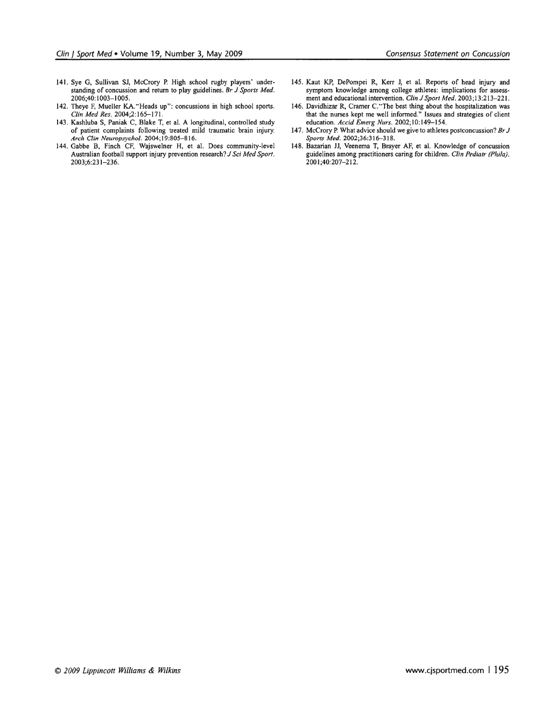- 141. Sye G, Sullivan SJ, McCrory P. High school rugby players' understanding of concussion and return to play guidelines. Br J Sports Med. 2006;40:1003-1005.
- 142. Theye F, Mueller KA. "Heads up": concussions in high school sports. Clin Med Res. 2004;2:165-171.
- 143. Kashluba S, Paniak C, Blake T, et al. A longitudinal, controlled study of patient complaints following treated mild traumatic brain injury. Arch Clin Neuropsychol. 2004;19:805-816.
- 144. Gabbe B, Finch CF, Wajswelner H, et al. Does community-level Australian football support injury prevention research? J Sci Med Sport. 2003;6:231-236.
- 145. Kaut KP, DePompei R, Kerr J, et al. Reports of head injury and symptom knowledge among college athletes: implications for assessment and educational intervention. Clin J Sport Med. 2003;13:213-221.
- 146. Davidhizar R, Cramer C. "The best thing about the hospitalization was<br>that the nurses kept me well informed." Issues and strategies of client education. Accid Emerg Nurs. 2002;10:149-154.
- 147. McCrory P. What advice should we give to athletes postconcussion? Br J Sports Med. 2002;36:316-318.
- 148. Bazarian JJ, Veenema T, Brayer AF, et al. Knowledge of concussion guidelines among practitioners caring for children. Clin Pediatr (Phila). 2001;40:207-212.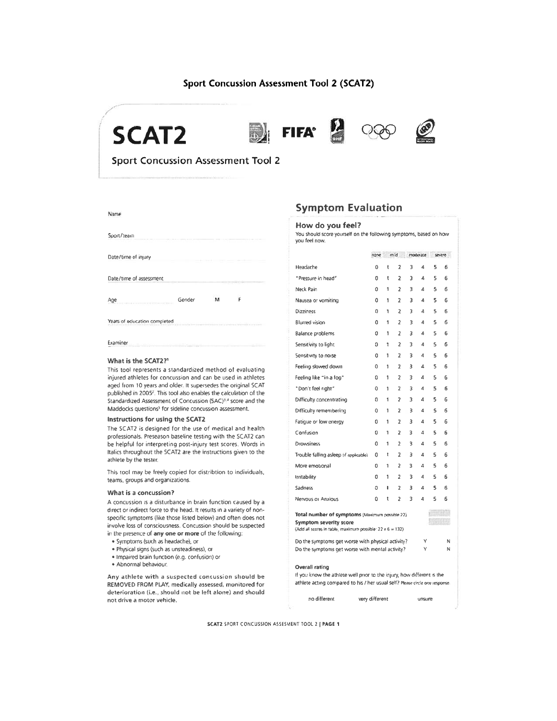**SCAT2** 







# **Sport Concussion Assessment Tool 2**

| Sport/team                   |        |  |
|------------------------------|--------|--|
| Date/time of injury          |        |  |
| Date/time of assessment      |        |  |
| Age                          | Gender |  |
| Years of education completed |        |  |

Examiner

#### What is the SCAT2?'

This tool represents a standardized method of evaluating injured athletes for concussion and can be used in athletes aged from 10 years and older. It supersedes the original SCAT published in 2005<sup>7</sup>. This tool also enables the calculation of the Standardized Assessment of Concussion (SAC)<sup>3,4</sup> score and the Maddocks questions<sup>5</sup> for sideline concussion assessment.

#### Instructions for using the SCAT2

The SCAT2 is designed for the use of medical and health professionals. Preseason baseline testing with the SCAT2 can be helpful for interpreting post-injury test scores. Words in Italics throughout the SCAT2 are the instructions given to the athlete by the tester.

This tool may be freely copied for distribtion to individuals, teams, groups and organizations.

#### What is a concussion?

A concussion is a disturbance in brain function caused by a direct or indirect force to the head. It results in a variety of nonspecific symptoms (like those listed below) and often does not involve loss of consciousness. Concussion should be suspected in the presence of any one or more of the following:

- · Symptoms (such as headache), or
- · Physical signs (such as unsteadiness), or
- · Impaired brain function (e.g. confusion) or
- · Abnormal behaviour.

Any athlete with a suspected concussion should be REMOVED FROM PLAY, medically assessed, monitored for deterioration (i.e., should not be left alone) and should not drive a motor vehicle.

# **Symptom Evaluation**

#### How do you feel?

You should score yourself on the following symptoms, based on how you feel now.

| ഞര<br>m: a                                                                                                                                             | moderate |   | severe         |        |
|--------------------------------------------------------------------------------------------------------------------------------------------------------|----------|---|----------------|--------|
| 0<br>t<br>2                                                                                                                                            | 3        | 4 | 5              | 6      |
| $\overline{z}$<br>O<br>t                                                                                                                               | 3        | 4 | 5              | 6      |
| ٥<br>1<br>$\overline{c}$                                                                                                                               | 3        | 4 | 5              | 6      |
| $\overline{z}$<br>0<br>1                                                                                                                               | 3        | 4 | 5              | 6      |
| 0<br>1<br>2                                                                                                                                            | 3        | 4 | 5              | 6      |
| 0<br>1<br>2                                                                                                                                            | 3        | 4 | 5              | 6      |
| ۵<br>1<br>2                                                                                                                                            | з        | 4 | 5              | 6      |
| 1<br>2<br>Ω                                                                                                                                            | 3        | 4 | 5              | 6      |
| 1<br>2<br>0                                                                                                                                            | 3        | 4 | 5              | 6      |
| O<br>1<br>2                                                                                                                                            | 3        | 4 | 5              | 6      |
| 2<br>٥<br>1                                                                                                                                            | 3        | 4 | 5              | 6      |
| G<br>1<br>2                                                                                                                                            | 3        | 4 | 5              | 6      |
| 2<br>Ω<br>1                                                                                                                                            | 3        | 4 | 5              | 6      |
| 0<br>1<br>2                                                                                                                                            | 3        | 4 | 5              | 6      |
| 1<br>2<br>O                                                                                                                                            | з        | 4 | 5              | 6      |
| O<br>1<br>$\overline{2}$                                                                                                                               | 3        | 4 | 5              | 6      |
| O<br>1<br>ż                                                                                                                                            | 3        | 4 | 5              | 6      |
| 2<br>Trouble falling asleep (if applicable)<br>٥<br>t                                                                                                  | 3        | 4 | 5              | 6      |
| 2<br>0<br>1                                                                                                                                            | 3        | 4 | 5              | 6      |
| Ű<br>1<br>2                                                                                                                                            | 3        | 4 | 5              | 6      |
| G<br>2<br>1                                                                                                                                            | з        | 4 | 5              | 6      |
| û<br>t<br>2                                                                                                                                            | 3        | 4 | 5              | 6      |
| Total number of symptoms (Maximum possible 22)<br>Symptom severity score<br>(Add all scores in table, maximum possible: 22 x 6 = 132).                 |          |   | <b>FREDERI</b> |        |
| Do the symptoms get worse with physical activity?                                                                                                      |          | Υ |                | N      |
| Do the symptoms get worse with mental activity?                                                                                                        |          | Y |                | N      |
| If you know the athlete well prior to the injury, how different is the<br>athlete acting compared to his / her usual self? Please circle one response. |          |   |                |        |
| very different                                                                                                                                         |          |   |                | unsure |

SCAT2 SPORT CONCUSSION ASSESMENT TOOL 2 | PAGE 1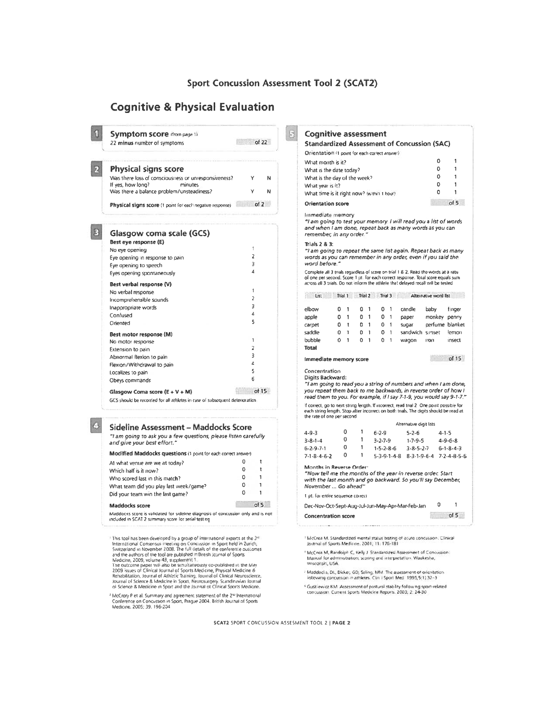T,

# **Cognitive & Physical Evaluation**

| <b>Symptom score</b> from page 1)<br>22 minus number of symptoms                                        | of 22          |
|---------------------------------------------------------------------------------------------------------|----------------|
| <b>Physical signs score</b>                                                                             |                |
| Was there loss of cortsciousness or unresponsiveness?<br>If yes, how long?<br>minutes                   | Y<br>N         |
| Was there a balance problem/unsteadiness?                                                               | Y<br>N         |
| Physical signs score (1 point for each negative response) [16] [26]                                     |                |
| Glasgow coma scale (GCS)<br>Best eye response (E)                                                       |                |
| No eye opening                                                                                          | 1              |
| Eye opening in response to pain                                                                         | $\overline{z}$ |
| Eye opening to speech                                                                                   | 3              |
| Eyes opening spontaneously                                                                              | 4              |
| Best verbal response (V)                                                                                |                |
| No verbal response                                                                                      | t              |
| Incomprehensible sounds                                                                                 | 2              |
| Inappropriate words                                                                                     | 3              |
| Confused                                                                                                | 4              |
| Oriented                                                                                                | 5              |
| Best motor response (M)                                                                                 |                |
| No motor response                                                                                       | 1              |
| Extension to pain                                                                                       | $\overline{z}$ |
| Abnormal flexion 1o pain                                                                                | 3              |
| Flexion/Withdrawal to pain                                                                              | 4              |
| Localizes to pain                                                                                       | 5              |
| Obeys commands                                                                                          | б              |
| Glasgow Coma score $(E + V + M)$                                                                        | of 15          |
| GCS should be recorded for all attiletes in case of subsequent deterioration.                           |                |
|                                                                                                         |                |
| Sideline Assessment - Maddocks Score<br>"I am going to ask you a few questions, please listen carefully |                |
| and give your best effort."                                                                             |                |
| Modified Maddocks questions (1 point for each correct answer)                                           |                |

| againstations against the community of the state of the community of the community of the community of the community of the community of the community of the community of the community of the community of the community of |   |      |
|-------------------------------------------------------------------------------------------------------------------------------------------------------------------------------------------------------------------------------|---|------|
| At what venue are we at today?                                                                                                                                                                                                |   |      |
| Which half is it now?                                                                                                                                                                                                         | Ð |      |
| Who scored last in this match?                                                                                                                                                                                                | o |      |
| What team did you play last week/game?                                                                                                                                                                                        | o |      |
| Did your team win the last game?                                                                                                                                                                                              | o |      |
| <b>Maddocks score</b>                                                                                                                                                                                                         |   | of 5 |
| that developes a second in this best of the containing dimensional and construction made made it was                                                                                                                          |   |      |

Maddocks score is validated for sideline diagnosis of concussion only and is not<br>included in SCAT 2 summary score for serial testing

This tool has been developed by a group of international experts at the 3<sup>6</sup><br>International Consensus meeting on Concussion in Sport held in Zurich,<br>Switzerland in November 2008. The full details of the conference outcomes

Source and the authors of the tocl are published in British Journal of Sports<br>and the authors of the tocl are published in British Journal of Sports<br>Medicine, 2009, volume 43, supplement 1.<br>The putcome paper will also be s

<sup>2</sup> McCrory P et al. Summary and agreement statement of the 2<sup>51</sup> International<br>Conference on Concussion in Sport, Prague 2004. British Journal of Sports<br>Medicine. 2005; 39. 196-204

#### **Cognitive assessment**

**Standardized Assessment of Concussion (SAC)** Orientation (I)

| Orientation score                             |   | of 5 |  |
|-----------------------------------------------|---|------|--|
| What time is it right now? (within t hour)    | n |      |  |
| What year is it?                              |   |      |  |
| What is the day of the week?                  | o |      |  |
| What is the date today?                       |   |      |  |
| What month is it?                             |   |      |  |
| Offentation if point for each correct answer. |   |      |  |

Immediate memory

"I am going to test your memory. I will read you a list of words and when I am done, repeat back as many words as you can remember, in any order."

#### Trials 2 & 3:

"I am going to repeat the same list again. Repeat back as many words as you can remember in any order, even if you said the word before."

Complete all 3 trials regardless of score on trial 1 & 2. Read the words at a rate of one per second. Score 1 pt, for each correct response. Total score equals sum across all 3 trials. Do not inform the athlete that delayed recall will be tested

| List                   | Trial 1 |    | Trial 2 |    | Trial 3 |              |                 | Alternative word list |        |
|------------------------|---------|----|---------|----|---------|--------------|-----------------|-----------------------|--------|
| elbow                  | o       |    | Ω       | 1  | o       | 1            | candle          | baby                  | finger |
| apple                  | ß       |    | ٥       | 1  | ٥       | $\mathbf{1}$ | paper           | monkev                | penny  |
| carpet                 | ٥       | t  | ٥       | 1  | 0       | -1           | sugar           | perfume blanket       |        |
| saddle                 | Ω       | 1  | n       | 1  | ٥       | 1            | sandwich sunset |                       | lemon  |
| bubble<br><b>Total</b> | 0       | -1 | ٥       | -1 | ٥       | -1           | wagon           | 1001                  | insect |
| inmadinta mamami ecara |         |    |         |    |         |              |                 |                       | n!15   |

mediate memory score

Concentration

Digits Backward:

"I am going to read you a string of numbers and when I am done, you repeat them back to me backwards, in reverse order of how i<br>read them to you. For example, if I say 7-1-9, you would say 9-1-7." If correct, go to next string length. If incorrect, read trial 2. One point possible for<br>each string length. Stop affer incorrect on both trials. The digits should be read at<br>the rate of one per second

| $4 - 9 - 3$             | Alternative digit lists |  |                 |                         |                     |  |
|-------------------------|-------------------------|--|-----------------|-------------------------|---------------------|--|
|                         | 0                       |  | $6 - 2 - 9$     | $5 - 2 - 6$             | $4 - 1 - 5$         |  |
| $3 - 8 - 1 - 4$         | 0                       |  | $3 - 2 - 7 - 9$ | $1 - 7 - 9 - 5$         | $4 - 9 - 6 - 8$     |  |
| $6 - 2 - 9 - 7 - 1$     | 0                       |  | $1.5 - 2.8 - 6$ | $3 - 8 - 5 - 7 - 7$     | $6 - 1 - 8 - 4 - 3$ |  |
| $7 - 1 - 8 - 4 - 6 - 2$ | 0                       |  | $5-3-9-1-4-8$   | $8 - 3 - 1 - 9 - 6 - 4$ | $7-2-4-8-5-6$       |  |

Months in Reverse Order:

"Now tell me the months of the year in reverse order. Start with the last month and go backward. So you'll say December, November ... Go ahead\*

t pt. foi entire sequence coirect

| Dec-Nov-Oct-Sept-Aug-Jul-Jun-May-Apr-Mar-Feb-Jan |      |
|--------------------------------------------------|------|
| <b>Concentration score</b>                       | of 5 |

<sup>3</sup> McCrea M. Standardized mental status testing of acute concussion. Clinical<br>Joi final of Sports Medicine. 2001; 11: 176-181

\* McCrea M, Randolph C, Kelly J. Standardized Assessment of Concussion: Manual for administration, scoring and interpretation. Waukesha, Wisconsin, USA.

Maddocks, DL, Dicker, GD; Saling, MM. The assessment of orientation<br>Tollowing concussion in athletes. Clin I Sport Med. 1995;5(1):32–3

<sup>6</sup> Guskiewicz KM. Assessment of postural stability following sport-related concussion. Current Sports Medicine Reports. 2003; 2: 24-30

**SCAT2 SPORT CONCUSSION ASSESMENT TOOL 2 | PAGE 2**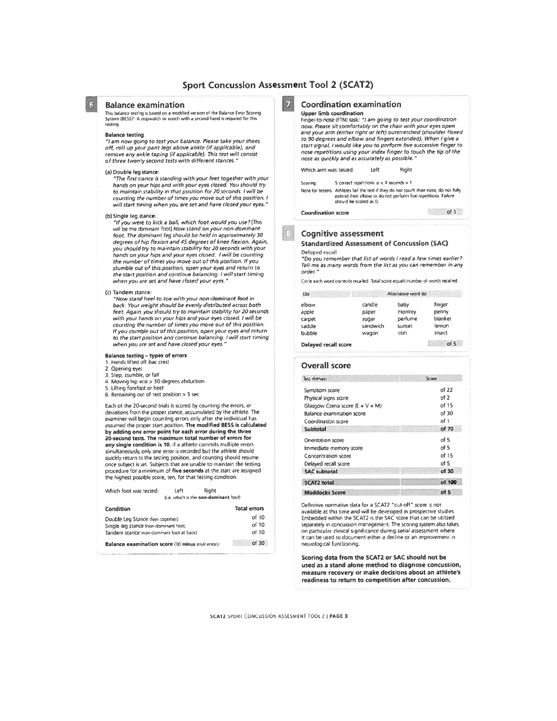$\overline{\boldsymbol{I}}$ 

#### **Balance examination**

This balance testing is based on a modified version of the Balance Error Scoring<br>System (BESS)\*. A stopwatch or watch with a second hand is required for this testing

#### **Balance testing**

"I am now going to test your balance. Please take your shoes off, roll up your pant legs above ankle (if applicable), and<br>remove any ankle taping (if applicable). This test will consist of three twenty second tests with different stances.'

#### (a) Double leg stance:

"The first stance is standing with your feet together with your hands on your hips and with your eyes closed. You should try to maintain stability in that position for 20 seconds. I will be counting the number of times you move out of this position. I will start timing when you are set and have closed your eyes."

#### (b) Single leg stance:

"If you were to kick a ball, which foot would you use? [This<br>will be the dominant foot] Now stand on your non-dominant foot. The dominant leg should be held in approximately 30 degrees of hip flexion and 45 degrees of knee flexion. Again,<br>you should try to maintain stability for 20 seconds with your hands on your hips and your eyes closed. I will be counting the number of times you move out of this position. If you stumble out of this position, open your eyes and return to the start position and continue balancing. I will start timing when you are set and have closed your eyes."

#### (c) Tandem stance:

"Now stand heel to toe with your non-dominant foot in back. Your weight should be evenly distributed across both feet. Again, you should try to maintain stability for 20 seconds with your hands on your hips and your eyes closed. I will be counting the number of times you move out of this position If you stumble out of this position, open your eyes and return to the start position and continue balancing. I will start timing when you are set and have closed your eyes.

# **Balance testing - types of errors**<br>1. Hands lifted off iliac crest

- 2. Opening eves
- Step, stumble, or fall
- 4. Moving hip into > 30 degrees abduction
- 5. Lifting forefoot or heel
- 6. Remaining out of test position > 5 sec

Each of the 20-second trials is scored by counting the errors, or deviations from the proper stance, accumulated by the athlete. The examiner will begin counting errors only after the individual has assumed the proper start position. The modified BESS is calculated by adding one error point for each error during the three<br>20-second tests. The maximum total number of errors for any single condition is 10. If a athlete commits multiple errors simultaneously, only one error is recorded but the athlete should quickly return to the testing position, and counting should resume once subject is set. Subjects that are unable to maintain the testing procedure for a minimum of five seconds at the start are assigned the highest possible score, ten, for that testing condition.

| Which foot was tested:                            | Lett<br>(i.e. which is the non-dominant fool). | Kight               |
|---------------------------------------------------|------------------------------------------------|---------------------|
| Condition                                         |                                                | <b>Total errors</b> |
| Double Leg Stance (feet together)                 |                                                | of t0               |
| Single leg stance (non-dominant foot)             |                                                | of 10               |
| Tandem stance (non-dominant foot at back)         |                                                | of 10               |
| Balance examination score (30 minus total errors) |                                                | of $30$             |

# **Coordination examination**

Upper limb coordination<br>Finger-to-nose (FTN) task: "I am going to test your coordination<br>now. Please sit comfortably on the chair with your eyes open and your arm (either right or left) outstretched (shoulder flexed

to 90 degrees and elbow and fingers extended). When I give a<br>start signal, I would like you to perform five successive finger to<br>nose repetitions using your index finger to touch the tip of the nose as quickly and as accurately as possible.'

Which arm was tested: **Inft** Right

Scoring: 5 correct repetitions in < 4 seconds = t

Note for testers' Athletes fail the test if they do not touch their nose, do not fully extend their elbow or do not perform five repetitions. Failure should be scored as 0.

 $of 1$ 

 $of 5$ 

#### **Cognitive assessment**

**Coordination score** 

 $\overline{\mathbf{a}}$ 

#### **Standardized Assessment of Concussion (SAC)** Delayed recall

"Do you remember that list of words I read a few times earlier? Tell me as many words from the list as you can remember in any order."

Circle each word correctly recalled. Total score equals number of words recalled.

| List   |           | Alternative word list |         |  |  |  |
|--------|-----------|-----------------------|---------|--|--|--|
| elbow  | candle    | baby                  | finger  |  |  |  |
| apple  | paper     | monkey                | penny   |  |  |  |
| carpet | sugar     | perfume               | blanket |  |  |  |
| saddle | sarıdwich | sunset                | errion  |  |  |  |
| bubble | wagon     | ron                   | nsect   |  |  |  |
|        |           |                       |         |  |  |  |

Delayed recall score

| Overall score                     |         |  |  |
|-----------------------------------|---------|--|--|
| Test domain                       | Score   |  |  |
| Symptom score                     | of $22$ |  |  |
| Physical signs score              | of 2    |  |  |
| Glasgow Corna score $(E + V + M)$ | of 15   |  |  |
| Balance examination score         | of 30   |  |  |
| Coordination score                | of 1    |  |  |
| Subtotal                          | of 70   |  |  |
| Orientation score                 | of 5    |  |  |
| Immediate memory score            | of 5    |  |  |
| Concentration score               | of 15   |  |  |
| Delayed recall score              | of 5    |  |  |
| <b>SAC subtotal</b>               | of 30   |  |  |
| <b>SCAT2 total</b>                | of 100  |  |  |
| <b>Maddocks Score</b>             | of 5    |  |  |

Definitive normative data for a SCAT2 "cut-off" score is not available at this time and will be developed in prospective studies Embedded within the SCAT2 is the SAC score that can be utilized<br>separately in concussion management. The scoring system also takes on particular clinical significance during serial assessment where it can be used to document either a decline or an improvement in neurological functioning.

Scoring data from the SCAT2 or SAC should not be used as a stand alone method to diagnose concussion, measure recovery or make decisions about an athlete's readiness to return to competition after concussion.

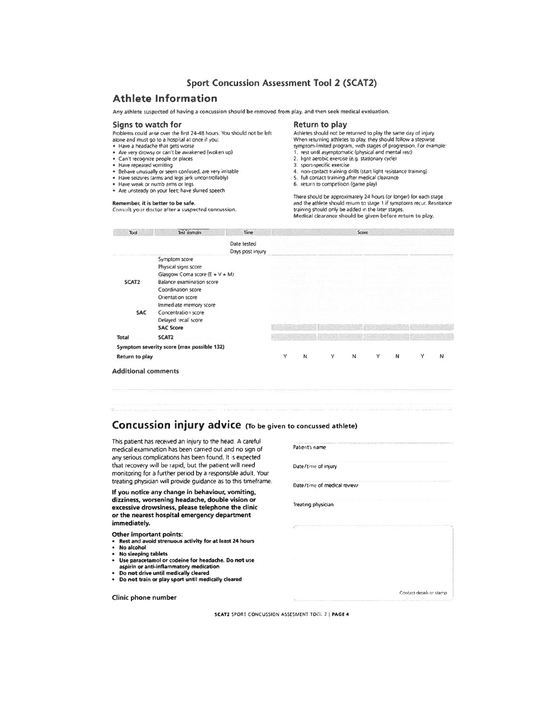# **Athlete Information**

Any athlete suspected of having a concussion should be removed from play, and then seek medical evaluation.

#### Signs to watch for

Problems could arise over the first 24-48 hours. You should not be left alone and must go to a hospital at once if you:

- . Have a headache that gets worse Are very drowsy or can't be awakened (woken up)
- · Can't recognize people or places
- 
- Have repeated vomiting<br>• Behave unusually or seem confused, are very irritable
- Have seizures (arms and legs jerk uncontrollably)
- Have weak or numb arms or legs
- Are unsteady on your feet; have slurred speech

#### Remember, it is better to be safe.

Consult your doctor after a suspected concussion.

#### Return to play

Athletes should not be returned to play the same day of injury. When returning athletes to play, they should follow a stepwise symptom-limited program, with stages of progression. For example<br>1. rest until asymptomatic (physical and mental rest)

- 2. lignt aerobic exercise (e.g. stationary cycle)
- 
- et ligne deutsche konstantieren geschieden.<br>
2. sport-specific exercise<br>
4. non-contact training drills (start light resistance training)
- 5. full contact training after medical clearance
- 6. return to competition (game play)

There should be approximately 24 hours (or longer) for each stage and the athlete should return to stage 1 if symptoms recur. Resistance training should only be added in the later stages. Medical clearance should be given before return to play.

| Tool                  | Test domain                               | Time                            |   |   |   |   | Score. |   |   |   |
|-----------------------|-------------------------------------------|---------------------------------|---|---|---|---|--------|---|---|---|
|                       |                                           | Date tested<br>Days post injury |   |   |   |   |        |   |   |   |
|                       | Symptom score                             |                                 |   |   |   |   |        |   |   |   |
|                       | Physical signs score                      |                                 |   |   |   |   |        |   |   |   |
|                       | Glasgow Coma score (E + V + M)            |                                 |   |   |   |   |        |   |   |   |
| SCAT2                 | Balance examination score                 |                                 |   |   |   |   |        |   |   |   |
|                       | Coordination score                        |                                 |   |   |   |   |        |   |   |   |
|                       | Orientation score                         |                                 |   |   |   |   |        |   |   |   |
|                       | Immediate memory score                    |                                 |   |   |   |   |        |   |   |   |
| <b>SAC</b>            | Concentration score                       |                                 |   |   |   |   |        |   |   |   |
|                       | Delayed recal score                       |                                 |   |   |   |   |        |   |   |   |
|                       | <b>SAC Score</b>                          |                                 |   |   |   |   |        |   |   |   |
| Total                 | SCAT2                                     |                                 |   |   |   |   |        |   |   |   |
|                       | Symptom severity score (max possible 132) |                                 |   |   |   |   |        |   |   |   |
| <b>Return to play</b> |                                           |                                 | Y | N | Y | N | Υ      | N | Υ | N |

**Additional comments** 

## Concussion injury advice (To be given to concussed athlete)

This patient has received an injury to the head. A careful medical examination has been carried out and no sign of any serious complications has been found. It is expected that recovery will be rapid, but the patient will need monitoring for a further period by a responsible adult. Your treating physician will provide guidance as to this timeframe.

If you notice any change in behaviour, vomiting, dizziness, worsening headache, double vision or excessive drowsiness, please telephone the clinic or the nearest hospital emergency department immediately.

# Other important points:

- . Rest and avoid strenuous activity for at least 24 hours
- No alcohol
- No sleeping tablets
- Use paracetamol or codeine for headache. Do not use aspirin or anti-inflammatory medication
- Do not drive until medically cleared
- Do not train or play sport until medically cleared

Clinic phone number

| SCAT2 SPORT CONCUSSION ASSESMENT TOOL 2   PAGE 4 |  |  |
|--------------------------------------------------|--|--|

Patient's name

Date/time of injury

Treating physician

Date/time of medical review

Contact details or stamp